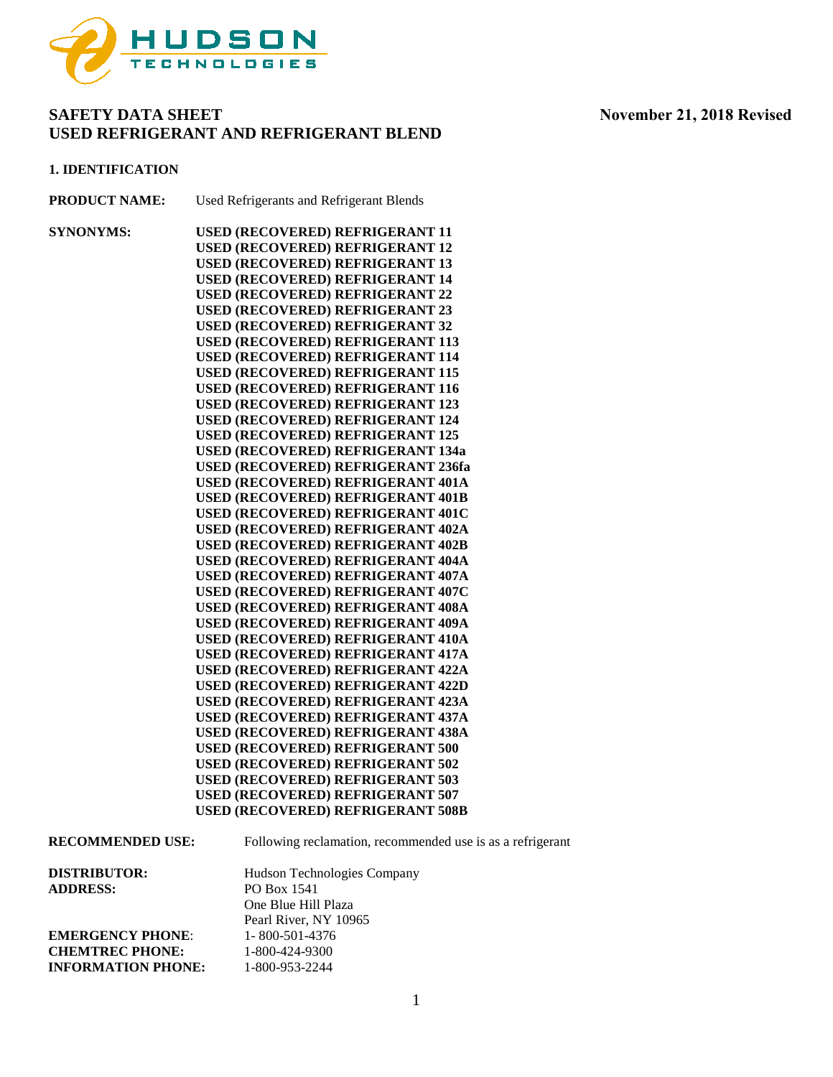

#### **1. IDENTIFICATION**

**PRODUCT NAME:** Used Refrigerants and Refrigerant Blends

**SYNONYMS: USED (RECOVERED) REFRIGERANT 11 USED (RECOVERED) REFRIGERANT 12 USED (RECOVERED) REFRIGERANT 13 USED (RECOVERED) REFRIGERANT 14 USED (RECOVERED) REFRIGERANT 22 USED (RECOVERED) REFRIGERANT 23 USED (RECOVERED) REFRIGERANT 32 USED (RECOVERED) REFRIGERANT 113 USED (RECOVERED) REFRIGERANT 114 USED (RECOVERED) REFRIGERANT 115 USED (RECOVERED) REFRIGERANT 116 USED (RECOVERED) REFRIGERANT 123 USED (RECOVERED) REFRIGERANT 124 USED (RECOVERED) REFRIGERANT 125 USED (RECOVERED) REFRIGERANT 134a USED (RECOVERED) REFRIGERANT 236fa USED (RECOVERED) REFRIGERANT 401A USED (RECOVERED) REFRIGERANT 401B USED (RECOVERED) REFRIGERANT 401C USED (RECOVERED) REFRIGERANT 402A USED (RECOVERED) REFRIGERANT 402B USED (RECOVERED) REFRIGERANT 404A USED (RECOVERED) REFRIGERANT 407A USED (RECOVERED) REFRIGERANT 407C USED (RECOVERED) REFRIGERANT 408A USED (RECOVERED) REFRIGERANT 409A USED (RECOVERED) REFRIGERANT 410A USED (RECOVERED) REFRIGERANT 417A USED (RECOVERED) REFRIGERANT 422A USED (RECOVERED) REFRIGERANT 422D USED (RECOVERED) REFRIGERANT 423A USED (RECOVERED) REFRIGERANT 437A USED (RECOVERED) REFRIGERANT 438A USED (RECOVERED) REFRIGERANT 500 USED (RECOVERED) REFRIGERANT 502 USED (RECOVERED) REFRIGERANT 503 USED (RECOVERED) REFRIGERANT 507 USED (RECOVERED) REFRIGERANT 508B**

| DISTRIBUTOR:    | Hudson Technologies Company |
|-----------------|-----------------------------|
| <b>ADDRESS:</b> | PO Box 1541                 |
|                 | One Blue Hill Plaza         |
|                 | Pearl River, NY 10965       |

**RECOMMENDED USE:** Following reclamation, recommended use is as a refrigerant

**EMERGENCY PHONE:** 1-800-501-4376 **CHEMTREC PHONE:** 1-800-424-9300 **INFORMATION PHONE:** 1-800-953-2244

1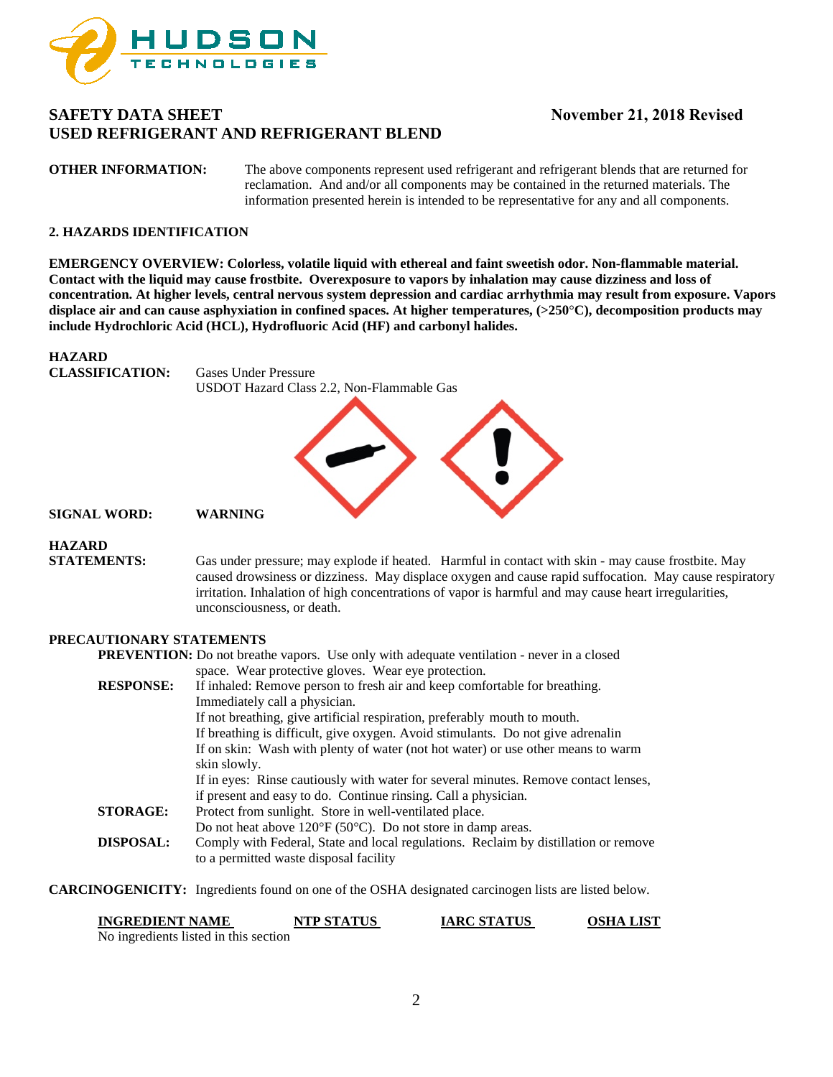

**OTHER INFORMATION:** The above components represent used refrigerant and refrigerant blends that are returned for reclamation. And and/or all components may be contained in the returned materials. The information presented herein is intended to be representative for any and all components.

### **2. HAZARDS IDENTIFICATION**

**EMERGENCY OVERVIEW: Colorless, volatile liquid with ethereal and faint sweetish odor. Non-flammable material. Contact with the liquid may cause frostbite. Overexposure to vapors by inhalation may cause dizziness and loss of concentration. At higher levels, central nervous system depression and cardiac arrhythmia may result from exposure. Vapors displace air and can cause asphyxiation in confined spaces. At higher temperatures, (>250**°**C), decomposition products may include Hydrochloric Acid (HCL), Hydrofluoric Acid (HF) and carbonyl halides.** 

### **HAZARD**

**CLASSIFICATION:** Gases Under Pressure USDOT Hazard Class 2.2, Non-Flammable Gas



**SIGNAL WORD: WARNING**

# **HAZARD**

**STATEMENTS:** Gas under pressure; may explode if heated. Harmful in contact with skin - may cause frostbite. May caused drowsiness or dizziness. May displace oxygen and cause rapid suffocation. May cause respiratory irritation. Inhalation of high concentrations of vapor is harmful and may cause heart irregularities, unconsciousness, or death.

### **PRECAUTIONARY STATEMENTS**

|                  | <b>PREVENTION:</b> Do not breathe vapors. Use only with adequate ventilation - never in a closed |  |
|------------------|--------------------------------------------------------------------------------------------------|--|
|                  | space. Wear protective gloves. Wear eye protection.                                              |  |
| <b>RESPONSE:</b> | If inhaled: Remove person to fresh air and keep comfortable for breathing.                       |  |
|                  | Immediately call a physician.                                                                    |  |
|                  | If not breathing, give artificial respiration, preferably mouth to mouth.                        |  |
|                  | If breathing is difficult, give oxygen. Avoid stimulants. Do not give adrenalin                  |  |
|                  | If on skin: Wash with plenty of water (not hot water) or use other means to warm                 |  |
|                  | skin slowly.                                                                                     |  |
|                  | If in eyes: Rinse cautiously with water for several minutes. Remove contact lenses,              |  |
|                  | if present and easy to do. Continue rinsing. Call a physician.                                   |  |
| <b>STORAGE:</b>  | Protect from sunlight. Store in well-ventilated place.                                           |  |
|                  | Do not heat above $120^{\circ}F(50^{\circ}C)$ . Do not store in damp areas.                      |  |
| <b>DISPOSAL:</b> | Comply with Federal, State and local regulations. Reclaim by distillation or remove              |  |
|                  | to a permitted waste disposal facility                                                           |  |
|                  |                                                                                                  |  |

**CARCINOGENICITY:** Ingredients found on one of the OSHA designated carcinogen lists are listed below.

| <b>INGREDIENT NAME</b>                | <b>NTP STATUS</b> | <b>IARC STATUS</b> | <b>OSHA LIST</b> |
|---------------------------------------|-------------------|--------------------|------------------|
| No ingredients listed in this section |                   |                    |                  |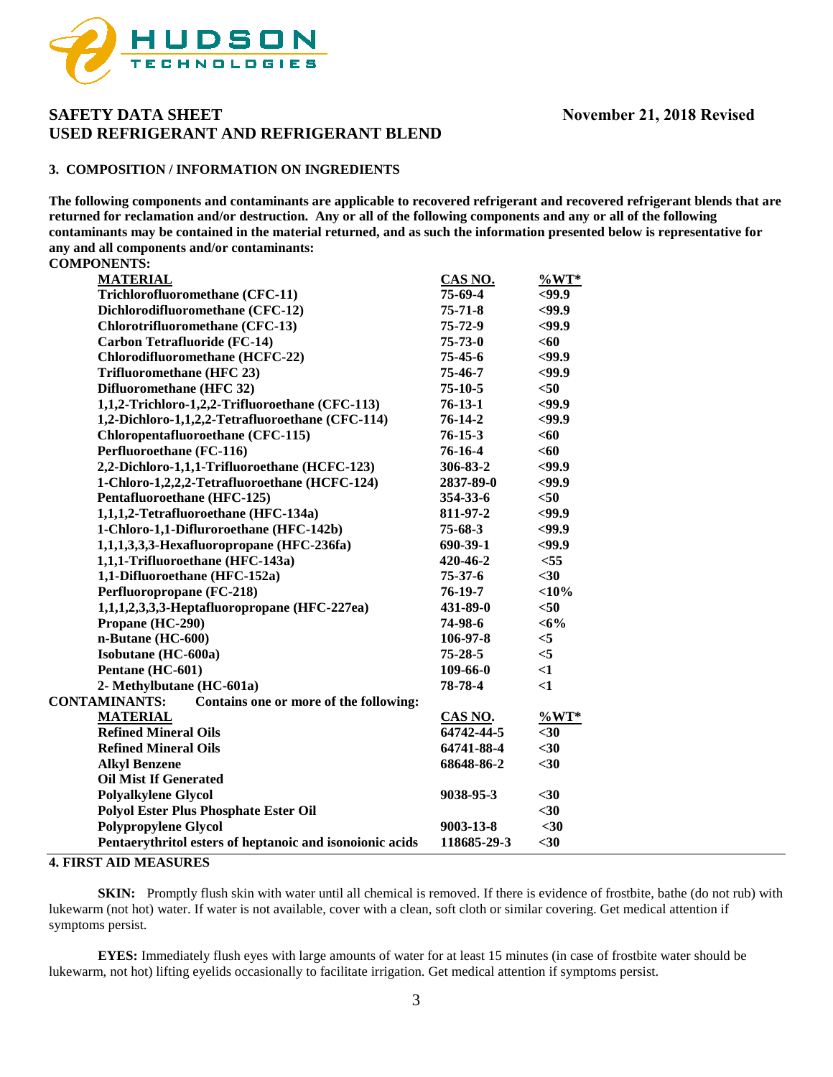

### **3. COMPOSITION / INFORMATION ON INGREDIENTS**

**The following components and contaminants are applicable to recovered refrigerant and recovered refrigerant blends that are returned for reclamation and/or destruction. Any or all of the following components and any or all of the following contaminants may be contained in the material returned, and as such the information presented below is representative for any and all components and/or contaminants:**

**COMPONENTS:** 

| <b>MATERIAL</b>                                                | CAS NO.       | $\%WT*$  |
|----------------------------------------------------------------|---------------|----------|
| Trichlorofluoromethane (CFC-11)                                | 75-69-4       | $99.9$   |
| Dichlorodifluoromethane (CFC-12)                               | $75 - 71 - 8$ | <99.9    |
| Chlorotrifluoromethane (CFC-13)                                | 75-72-9       | $99.9$   |
| <b>Carbon Tetrafluoride (FC-14)</b>                            | $75 - 73 - 0$ | <60      |
| Chlorodifluoromethane (HCFC-22)                                | 75-45-6       | $99.9$   |
| Trifluoromethane (HFC 23)                                      | 75-46-7       | $99.9$   |
| Difluoromethane (HFC 32)                                       | $75-10-5$     | $50$     |
| 1,1,2-Trichloro-1,2,2-Trifluoroethane (CFC-113)                | $76-13-1$     | $99.9$   |
| 1,2-Dichloro-1,1,2,2-Tetrafluoroethane (CFC-114)               | $76-14-2$     | $99.9$   |
| Chloropentafluoroethane (CFC-115)                              | $76 - 15 - 3$ | <60      |
| Perfluoroethane (FC-116)                                       | 76-16-4       | <60      |
| 2,2-Dichloro-1,1,1-Trifluoroethane (HCFC-123)                  | 306-83-2      | $99.9$   |
| 1-Chloro-1,2,2,2-Tetrafluoroethane (HCFC-124)                  | 2837-89-0     | $99.9$   |
| Pentafluoroethane (HFC-125)                                    | 354-33-6      | $50$     |
| 1,1,1,2-Tetrafluoroethane (HFC-134a)                           | 811-97-2      | $99.9$   |
| 1-Chloro-1,1-Difluroroethane (HFC-142b)                        | $75-68-3$     | $99.9$   |
| 1,1,1,3,3,3-Hexafluoropropane (HFC-236fa)                      | 690-39-1      | $99.9$   |
| 1,1,1-Trifluoroethane (HFC-143a)                               | 420-46-2      | $<$ 55   |
| 1,1-Difluoroethane (HFC-152a)                                  | $75 - 37 - 6$ | $30$     |
| Perfluoropropane (FC-218)                                      | $76-19-7$     | $<$ 10%  |
| 1,1,1,2,3,3,3-Heptafluoropropane (HFC-227ea)                   | 431-89-0      | $50$     |
| Propane (HC-290)                                               | 74-98-6       | $<$ 6%   |
| n-Butane (HC-600)                                              | 106-97-8      | $<$ 5    |
| Isobutane (HC-600a)                                            | $75 - 28 - 5$ | $<$ 5    |
| Pentane (HC-601)                                               | 109-66-0      | $\leq$ 1 |
| 2- Methylbutane (HC-601a)                                      | 78-78-4       | $\leq$ 1 |
| <b>CONTAMINANTS:</b><br>Contains one or more of the following: |               |          |
| <b>MATERIAL</b>                                                | CAS NO.       | $\%WT*$  |
| <b>Refined Mineral Oils</b>                                    | 64742-44-5    | $30$     |
| <b>Refined Mineral Oils</b>                                    | 64741-88-4    | $30$     |
| <b>Alkyl Benzene</b>                                           | 68648-86-2    | $30$     |
| <b>Oil Mist If Generated</b>                                   |               |          |
| <b>Polyalkylene Glycol</b>                                     | 9038-95-3     | $30$     |
| <b>Polyol Ester Plus Phosphate Ester Oil</b>                   |               | $30$     |
| <b>Polypropylene Glycol</b>                                    | 9003-13-8     | $30$     |
| Pentaerythritol esters of heptanoic and isonoionic acids       | 118685-29-3   | $30$     |
|                                                                |               |          |

### **4. FIRST AID MEASURES**

**SKIN:** Promptly flush skin with water until all chemical is removed. If there is evidence of frostbite, bathe (do not rub) with lukewarm (not hot) water. If water is not available, cover with a clean, soft cloth or similar covering. Get medical attention if symptoms persist.

**EYES:** Immediately flush eyes with large amounts of water for at least 15 minutes (in case of frostbite water should be lukewarm, not hot) lifting eyelids occasionally to facilitate irrigation. Get medical attention if symptoms persist.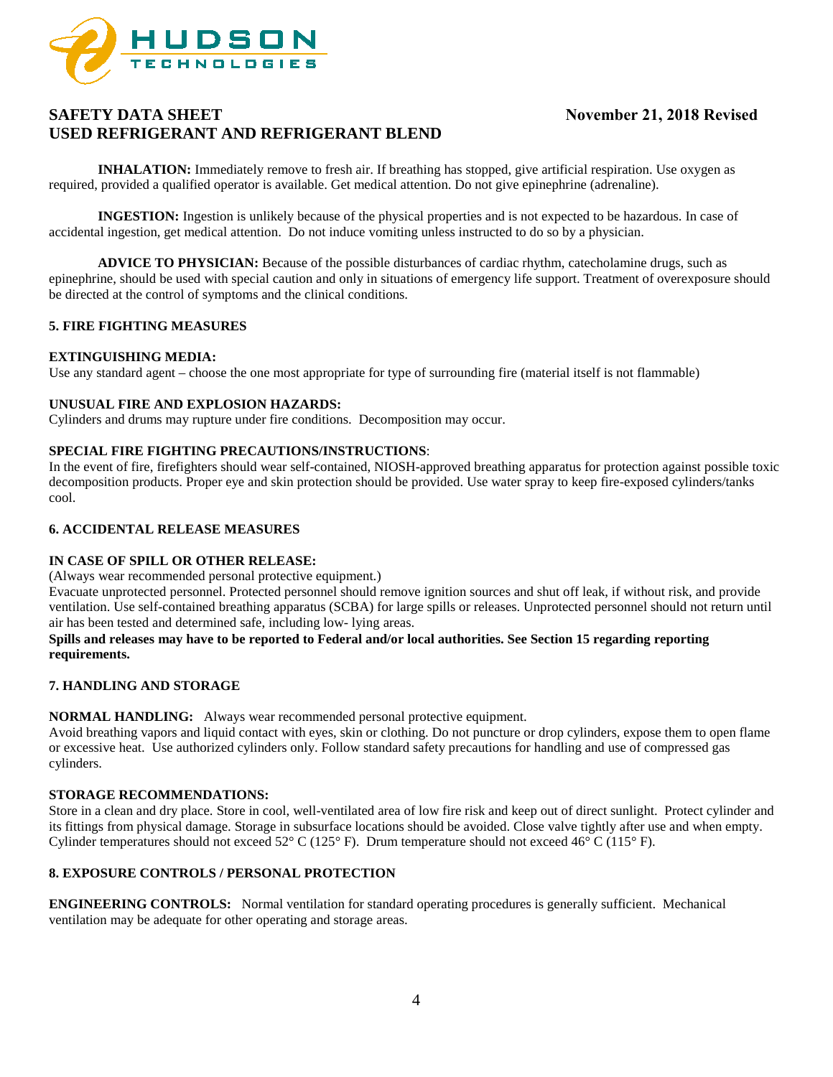

**INHALATION:** Immediately remove to fresh air. If breathing has stopped, give artificial respiration. Use oxygen as required, provided a qualified operator is available. Get medical attention. Do not give epinephrine (adrenaline).

**INGESTION:** Ingestion is unlikely because of the physical properties and is not expected to be hazardous. In case of accidental ingestion, get medical attention. Do not induce vomiting unless instructed to do so by a physician.

**ADVICE TO PHYSICIAN:** Because of the possible disturbances of cardiac rhythm, catecholamine drugs, such as epinephrine, should be used with special caution and only in situations of emergency life support. Treatment of overexposure should be directed at the control of symptoms and the clinical conditions.

### **5. FIRE FIGHTING MEASURES**

#### **EXTINGUISHING MEDIA:**

Use any standard agent – choose the one most appropriate for type of surrounding fire (material itself is not flammable)

### **UNUSUAL FIRE AND EXPLOSION HAZARDS:**

Cylinders and drums may rupture under fire conditions. Decomposition may occur.

### **SPECIAL FIRE FIGHTING PRECAUTIONS/INSTRUCTIONS**:

In the event of fire, firefighters should wear self-contained, NIOSH-approved breathing apparatus for protection against possible toxic decomposition products. Proper eye and skin protection should be provided. Use water spray to keep fire-exposed cylinders/tanks cool.

### **6. ACCIDENTAL RELEASE MEASURES**

### **IN CASE OF SPILL OR OTHER RELEASE:**

(Always wear recommended personal protective equipment.)

Evacuate unprotected personnel. Protected personnel should remove ignition sources and shut off leak, if without risk, and provide ventilation. Use self-contained breathing apparatus (SCBA) for large spills or releases. Unprotected personnel should not return until air has been tested and determined safe, including low- lying areas.

### **Spills and releases may have to be reported to Federal and/or local authorities. See Section 15 regarding reporting requirements.**

### **7. HANDLING AND STORAGE**

**NORMAL HANDLING:** Always wear recommended personal protective equipment.

Avoid breathing vapors and liquid contact with eyes, skin or clothing. Do not puncture or drop cylinders, expose them to open flame or excessive heat. Use authorized cylinders only. Follow standard safety precautions for handling and use of compressed gas cylinders.

### **STORAGE RECOMMENDATIONS:**

Store in a clean and dry place. Store in cool, well-ventilated area of low fire risk and keep out of direct sunlight. Protect cylinder and its fittings from physical damage. Storage in subsurface locations should be avoided. Close valve tightly after use and when empty. Cylinder temperatures should not exceed 52 $\degree$  C (125 $\degree$  F). Drum temperature should not exceed 46 $\degree$  C (115 $\degree$  F).

### **8. EXPOSURE CONTROLS / PERSONAL PROTECTION**

**ENGINEERING CONTROLS:** Normal ventilation for standard operating procedures is generally sufficient. Mechanical ventilation may be adequate for other operating and storage areas.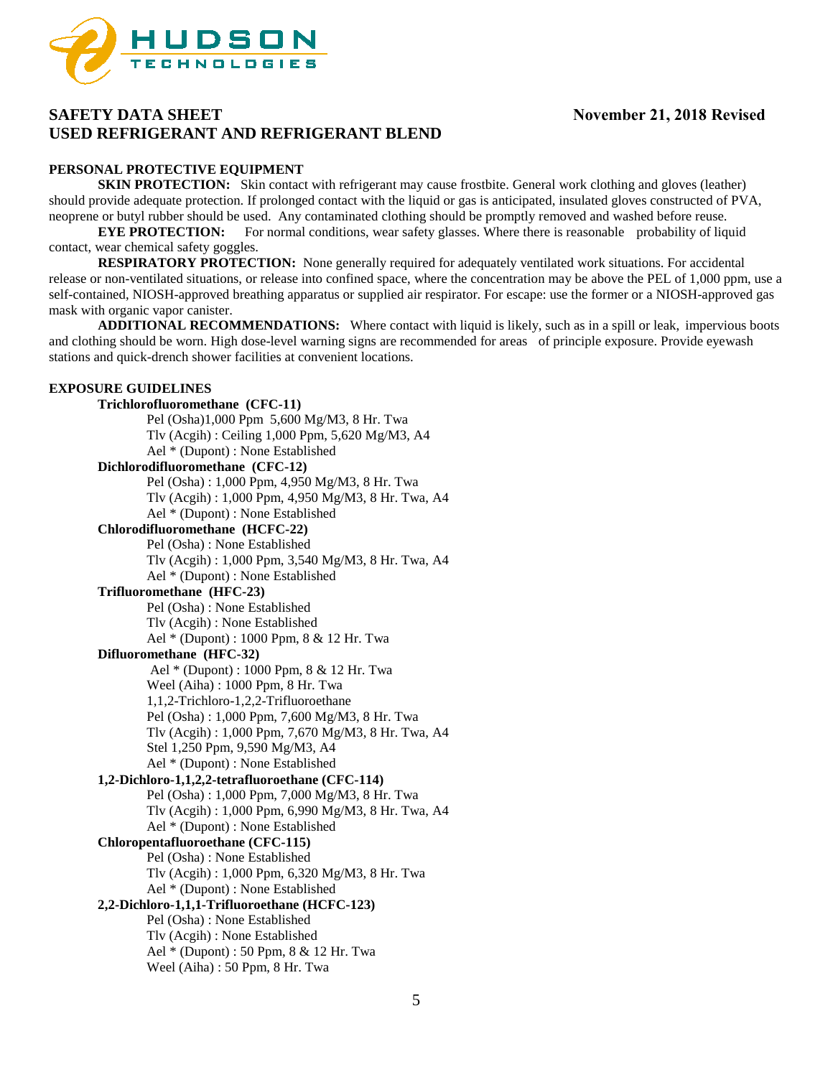

### **PERSONAL PROTECTIVE EQUIPMENT**

**SKIN PROTECTION:** Skin contact with refrigerant may cause frostbite. General work clothing and gloves (leather) should provide adequate protection. If prolonged contact with the liquid or gas is anticipated, insulated gloves constructed of PVA, neoprene or butyl rubber should be used. Any contaminated clothing should be promptly removed and washed before reuse.

**EYE PROTECTION:** For normal conditions, wear safety glasses. Where there is reasonable probability of liquid contact, wear chemical safety goggles.

**RESPIRATORY PROTECTION:** None generally required for adequately ventilated work situations. For accidental release or non-ventilated situations, or release into confined space, where the concentration may be above the PEL of 1,000 ppm, use a self-contained, NIOSH-approved breathing apparatus or supplied air respirator. For escape: use the former or a NIOSH-approved gas mask with organic vapor canister.

**ADDITIONAL RECOMMENDATIONS:** Where contact with liquid is likely, such as in a spill or leak, impervious boots and clothing should be worn. High dose-level warning signs are recommended for areas of principle exposure. Provide eyewash stations and quick-drench shower facilities at convenient locations.

#### **EXPOSURE GUIDELINES**

### **Trichlorofluoromethane (CFC-11)** Pel (Osha)1,000 Ppm 5,600 Mg/M3, 8 Hr. Twa Tlv (Acgih) : Ceiling 1,000 Ppm, 5,620 Mg/M3, A4 Ael \* (Dupont) : None Established **Dichlorodifluoromethane (CFC-12)** Pel (Osha) : 1,000 Ppm, 4,950 Mg/M3, 8 Hr. Twa Tlv (Acgih) : 1,000 Ppm, 4,950 Mg/M3, 8 Hr. Twa, A4 Ael \* (Dupont) : None Established **Chlorodifluoromethane (HCFC-22)** Pel (Osha) : None Established Tlv (Acgih) : 1,000 Ppm, 3,540 Mg/M3, 8 Hr. Twa, A4 Ael \* (Dupont) : None Established **Trifluoromethane (HFC-23)** Pel (Osha) : None Established Tlv (Acgih) : None Established Ael \* (Dupont) : 1000 Ppm, 8 & 12 Hr. Twa **Difluoromethane (HFC-32)** Ael \* (Dupont) : 1000 Ppm, 8 & 12 Hr. Twa Weel (Aiha) : 1000 Ppm, 8 Hr. Twa 1,1,2-Trichloro-1,2,2-Trifluoroethane Pel (Osha) : 1,000 Ppm, 7,600 Mg/M3, 8 Hr. Twa Tlv (Acgih) : 1,000 Ppm, 7,670 Mg/M3, 8 Hr. Twa, A4 Stel 1,250 Ppm, 9,590 Mg/M3, A4 Ael \* (Dupont) : None Established **1,2-Dichloro-1,1,2,2-tetrafluoroethane (CFC-114)** Pel (Osha) : 1,000 Ppm, 7,000 Mg/M3, 8 Hr. Twa Tlv (Acgih) : 1,000 Ppm, 6,990 Mg/M3, 8 Hr. Twa, A4 Ael \* (Dupont) : None Established **Chloropentafluoroethane (CFC-115)** Pel (Osha) : None Established Tlv (Acgih) : 1,000 Ppm, 6,320 Mg/M3, 8 Hr. Twa Ael \* (Dupont) : None Established **2,2-Dichloro-1,1,1-Trifluoroethane (HCFC-123)**  Pel (Osha) : None Established Tlv (Acgih) : None Established Ael \* (Dupont) : 50 Ppm, 8 & 12 Hr. Twa Weel (Aiha) : 50 Ppm, 8 Hr. Twa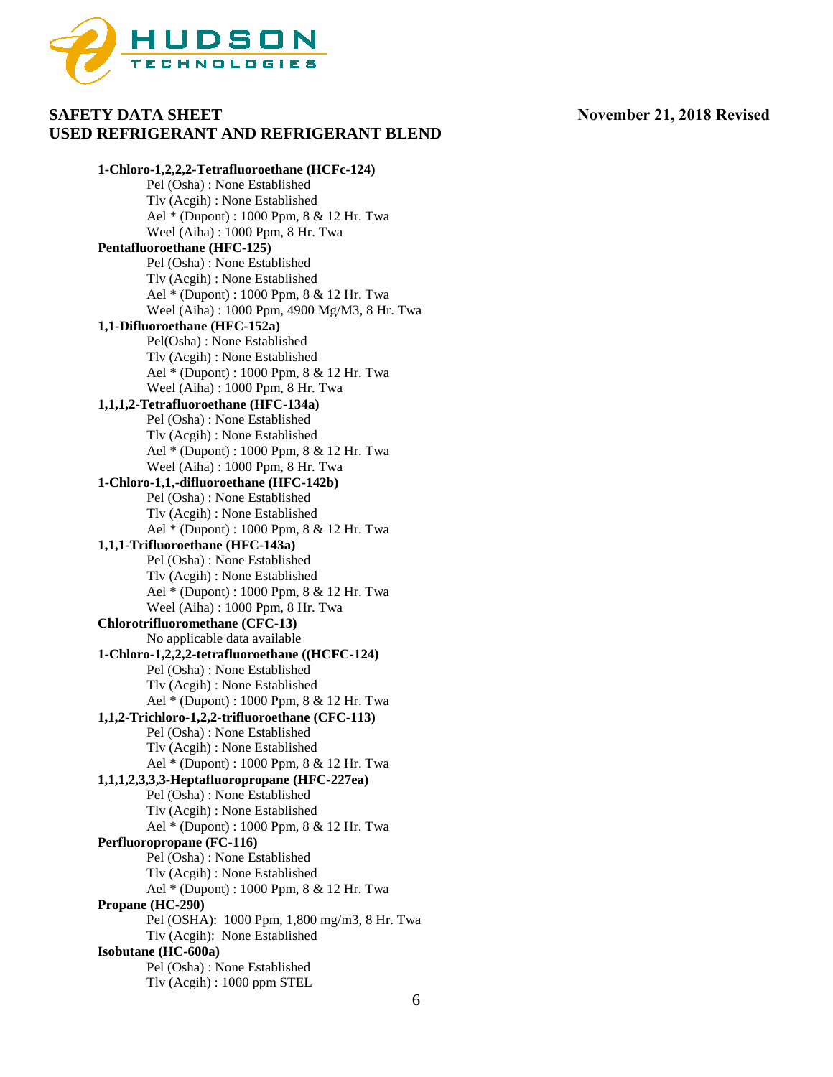

**1-Chloro-1,2,2,2-Tetrafluoroethane (HCFc-124)** Pel (Osha) : None Established Tlv (Acgih) : None Established Ael \* (Dupont) : 1000 Ppm, 8 & 12 Hr. Twa Weel (Aiha) : 1000 Ppm, 8 Hr. Twa **Pentafluoroethane (HFC-125)** Pel (Osha) : None Established Tlv (Acgih) : None Established Ael \* (Dupont) : 1000 Ppm, 8 & 12 Hr. Twa Weel (Aiha) : 1000 Ppm, 4900 Mg/M3, 8 Hr. Twa **1,1-Difluoroethane (HFC-152a)** Pel(Osha) : None Established Tlv (Acgih) : None Established Ael \* (Dupont) : 1000 Ppm, 8 & 12 Hr. Twa Weel (Aiha) : 1000 Ppm, 8 Hr. Twa **1,1,1,2-Tetrafluoroethane (HFC-134a)** Pel (Osha) : None Established Tlv (Acgih) : None Established Ael \* (Dupont) : 1000 Ppm, 8 & 12 Hr. Twa Weel (Aiha) : 1000 Ppm, 8 Hr. Twa **1-Chloro-1,1,-difluoroethane (HFC-142b)** Pel (Osha) : None Established Tlv (Acgih) : None Established Ael \* (Dupont) : 1000 Ppm, 8 & 12 Hr. Twa **1,1,1-Trifluoroethane (HFC-143a)** Pel (Osha) : None Established Tlv (Acgih) : None Established Ael \* (Dupont) : 1000 Ppm, 8 & 12 Hr. Twa Weel (Aiha) : 1000 Ppm, 8 Hr. Twa **Chlorotrifluoromethane (CFC-13)** No applicable data available **1-Chloro-1,2,2,2-tetrafluoroethane ((HCFC-124)** Pel (Osha) : None Established Tlv (Acgih) : None Established Ael \* (Dupont) : 1000 Ppm, 8 & 12 Hr. Twa **1,1,2-Trichloro-1,2,2-trifluoroethane (CFC-113)** Pel (Osha) : None Established Tlv (Acgih) : None Established Ael \* (Dupont) : 1000 Ppm, 8 & 12 Hr. Twa **1,1,1,2,3,3,3-Heptafluoropropane (HFC-227ea)**  Pel (Osha) : None Established Tlv (Acgih) : None Established Ael \* (Dupont) : 1000 Ppm, 8 & 12 Hr. Twa **Perfluoropropane (FC-116)** Pel (Osha) : None Established Tlv (Acgih) : None Established Ael \* (Dupont) : 1000 Ppm, 8 & 12 Hr. Twa **Propane (HC-290)** Pel (OSHA): 1000 Ppm, 1,800 mg/m3, 8 Hr. Twa Tlv (Acgih): None Established **Isobutane (HC-600a)** Pel (Osha) : None Established Tlv (Acgih) : 1000 ppm STEL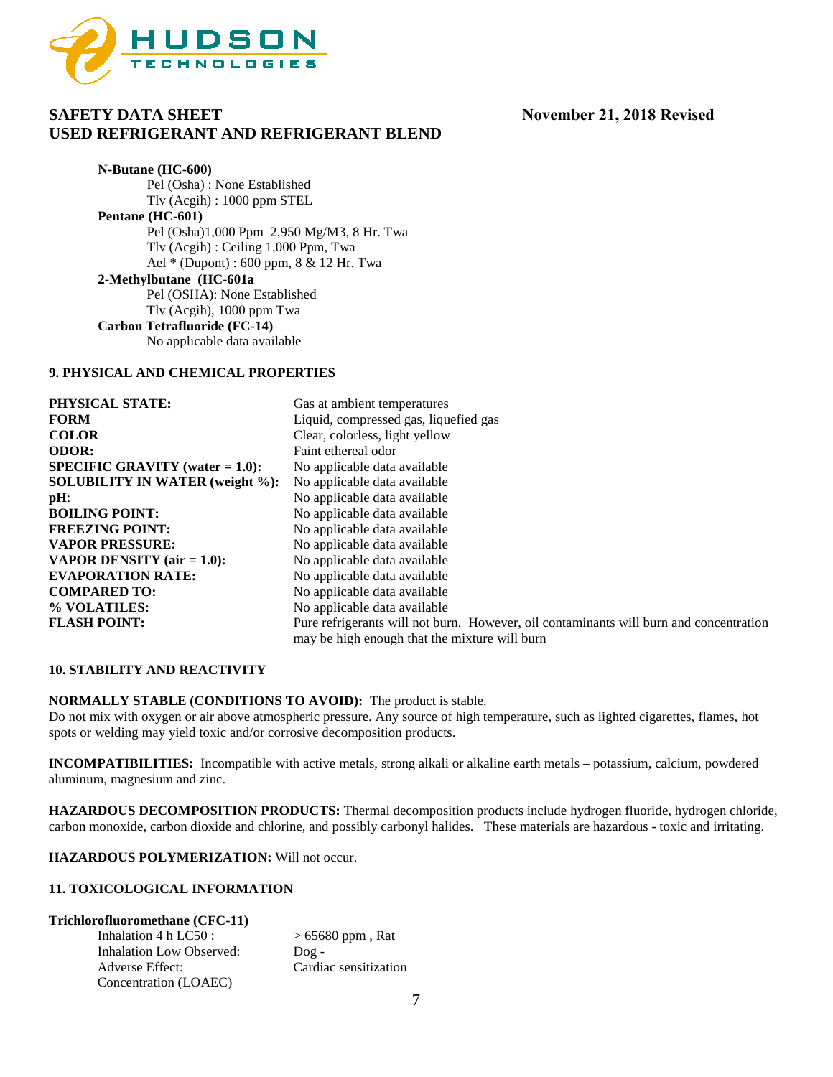

**N-Butane (HC-600)** Pel (Osha) : None Established Tlv (Acgih) : 1000 ppm STEL **Pentane (HC-601)** Pel (Osha)1,000 Ppm 2,950 Mg/M3, 8 Hr. Twa Tlv (Acgih) : Ceiling 1,000 Ppm, Twa Ael \* (Dupont) : 600 ppm, 8 & 12 Hr. Twa **2-Methylbutane (HC-601a** Pel (OSHA): None Established Tlv (Acgih), 1000 ppm Twa **Carbon Tetrafluoride (FC-14)** No applicable data available

#### **9. PHYSICAL AND CHEMICAL PROPERTIES**

| <b>PHYSICAL STATE:</b>                    | Gas at ambient temperatures                                                            |
|-------------------------------------------|----------------------------------------------------------------------------------------|
| <b>FORM</b>                               | Liquid, compressed gas, liquefied gas                                                  |
| <b>COLOR</b>                              | Clear, colorless, light yellow                                                         |
| <b>ODOR:</b>                              | Faint ethereal odor                                                                    |
| <b>SPECIFIC GRAVITY</b> (water $= 1.0$ ): | No applicable data available                                                           |
| <b>SOLUBILITY IN WATER (weight %):</b>    | No applicable data available                                                           |
| $pH$ :                                    | No applicable data available                                                           |
| <b>BOILING POINT:</b>                     | No applicable data available                                                           |
| <b>FREEZING POINT:</b>                    | No applicable data available                                                           |
| <b>VAPOR PRESSURE:</b>                    | No applicable data available                                                           |
| <b>VAPOR DENSITY</b> ( $air = 1.0$ ):     | No applicable data available                                                           |
| <b>EVAPORATION RATE:</b>                  | No applicable data available                                                           |
| <b>COMPARED TO:</b>                       | No applicable data available                                                           |
| % VOLATILES:                              | No applicable data available                                                           |
| <b>FLASH POINT:</b>                       | Pure refrigerants will not burn. However, oil contaminants will burn and concentration |
|                                           | may be high enough that the mixture will burn                                          |

### **10. STABILITY AND REACTIVITY**

**NORMALLY STABLE (CONDITIONS TO AVOID):** The product is stable.

Do not mix with oxygen or air above atmospheric pressure. Any source of high temperature, such as lighted cigarettes, flames, hot spots or welding may yield toxic and/or corrosive decomposition products.

**INCOMPATIBILITIES:** Incompatible with active metals, strong alkali or alkaline earth metals – potassium, calcium, powdered aluminum, magnesium and zinc.

**HAZARDOUS DECOMPOSITION PRODUCTS:** Thermal decomposition products include hydrogen fluoride, hydrogen chloride, carbon monoxide, carbon dioxide and chlorine, and possibly carbonyl halides. These materials are hazardous - toxic and irritating.

**HAZARDOUS POLYMERIZATION:** Will not occur.

#### **11. TOXICOLOGICAL INFORMATION**

#### **Trichlorofluoromethane (CFC-11)**

| Inhalation 4 h LC50 :    | $> 65680$ ppm, Rat    |
|--------------------------|-----------------------|
| Inhalation Low Observed: | $Doq -$               |
| Adverse Effect:          | Cardiac sensitization |
| Concentration (LOAEC)    |                       |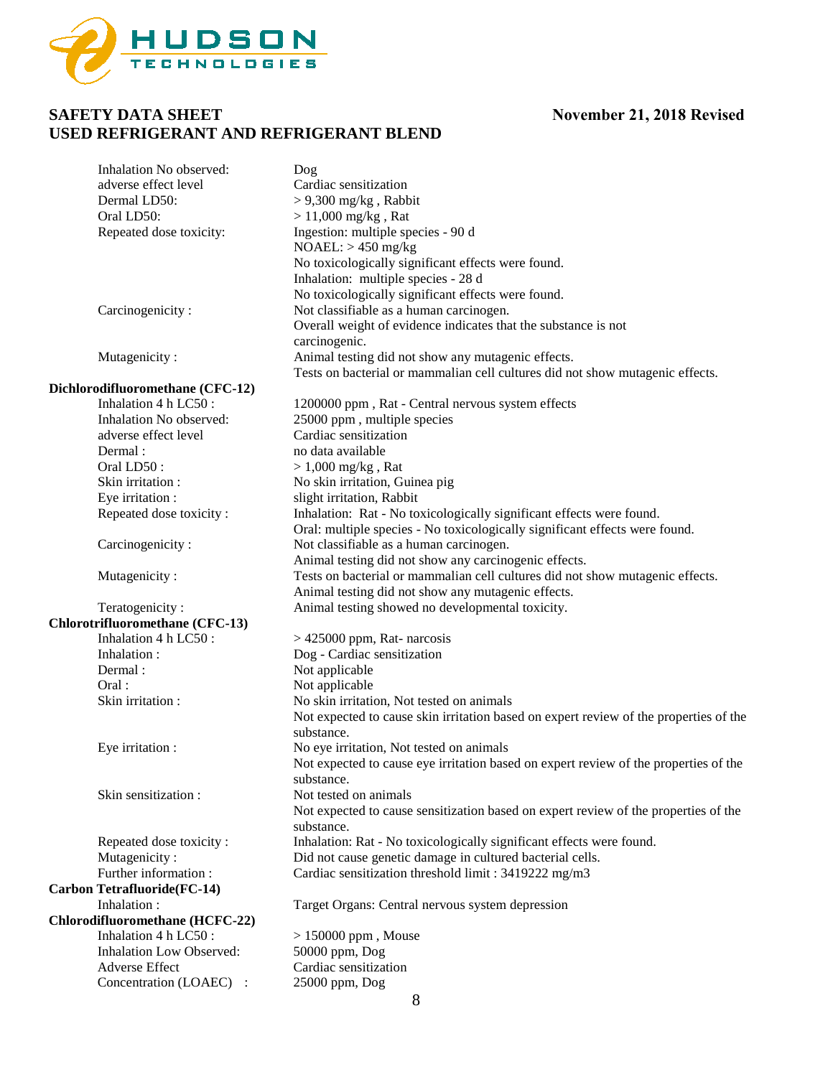

| Inhalation No observed:          | Dog                                                                                                 |
|----------------------------------|-----------------------------------------------------------------------------------------------------|
| adverse effect level             | Cardiac sensitization                                                                               |
| Dermal LD50:                     | $> 9,300$ mg/kg, Rabbit                                                                             |
| Oral LD50:                       | $> 11,000$ mg/kg, Rat                                                                               |
| Repeated dose toxicity:          | Ingestion: multiple species - 90 d                                                                  |
|                                  | $NOAEL:$ > 450 mg/kg                                                                                |
|                                  | No toxicologically significant effects were found.                                                  |
|                                  | Inhalation: multiple species - 28 d                                                                 |
|                                  | No toxicologically significant effects were found.<br>Not classifiable as a human carcinogen.       |
| Carcinogenicity:                 | Overall weight of evidence indicates that the substance is not                                      |
|                                  | carcinogenic.                                                                                       |
| Mutagenicity:                    | Animal testing did not show any mutagenic effects.                                                  |
|                                  | Tests on bacterial or mammalian cell cultures did not show mutagenic effects.                       |
| Dichlorodifluoromethane (CFC-12) |                                                                                                     |
| Inhalation 4 h LC50:             | 1200000 ppm, Rat - Central nervous system effects                                                   |
| Inhalation No observed:          | 25000 ppm, multiple species                                                                         |
| adverse effect level             | Cardiac sensitization                                                                               |
| Dermal:                          | no data available                                                                                   |
| Oral LD50:                       | $> 1,000$ mg/kg, Rat                                                                                |
| Skin irritation :                | No skin irritation, Guinea pig                                                                      |
| Eye irritation :                 | slight irritation, Rabbit                                                                           |
| Repeated dose toxicity:          | Inhalation: Rat - No toxicologically significant effects were found.                                |
|                                  | Oral: multiple species - No toxicologically significant effects were found.                         |
| Carcinogenicity:                 | Not classifiable as a human carcinogen.                                                             |
|                                  | Animal testing did not show any carcinogenic effects.                                               |
| Mutagenicity:                    | Tests on bacterial or mammalian cell cultures did not show mutagenic effects.                       |
|                                  | Animal testing did not show any mutagenic effects.                                                  |
| Teratogenicity:                  | Animal testing showed no developmental toxicity.                                                    |
| Chlorotrifluoromethane (CFC-13)  |                                                                                                     |
| Inhalation 4 h LC50:             | $>$ 425000 ppm, Rat- narcosis                                                                       |
| Inhalation:                      | Dog - Cardiac sensitization                                                                         |
| Dermal:                          | Not applicable                                                                                      |
| Oral:                            | Not applicable                                                                                      |
| Skin irritation:                 | No skin irritation, Not tested on animals                                                           |
|                                  | Not expected to cause skin irritation based on expert review of the properties of the<br>substance. |
| Eye irritation :                 | No eye irritation, Not tested on animals                                                            |
|                                  | Not expected to cause eye irritation based on expert review of the properties of the                |
|                                  | substance.                                                                                          |
| Skin sensitization:              | Not tested on animals                                                                               |
|                                  | Not expected to cause sensitization based on expert review of the properties of the                 |
|                                  | substance.                                                                                          |
| Repeated dose toxicity:          | Inhalation: Rat - No toxicologically significant effects were found.                                |
| Mutagenicity:                    | Did not cause genetic damage in cultured bacterial cells.                                           |
| Further information:             | Cardiac sensitization threshold limit: 3419222 mg/m3                                                |
| Carbon Tetrafluoride(FC-14)      |                                                                                                     |
| Inhalation:                      | Target Organs: Central nervous system depression                                                    |
| Chlorodifluoromethane (HCFC-22)  |                                                                                                     |
| Inhalation 4 h LC50:             | $> 150000$ ppm, Mouse                                                                               |
| <b>Inhalation Low Observed:</b>  | 50000 ppm, Dog                                                                                      |
| Adverse Effect                   | Cardiac sensitization                                                                               |
| Concentration (LOAEC) :          | 25000 ppm, Dog                                                                                      |
|                                  | 8                                                                                                   |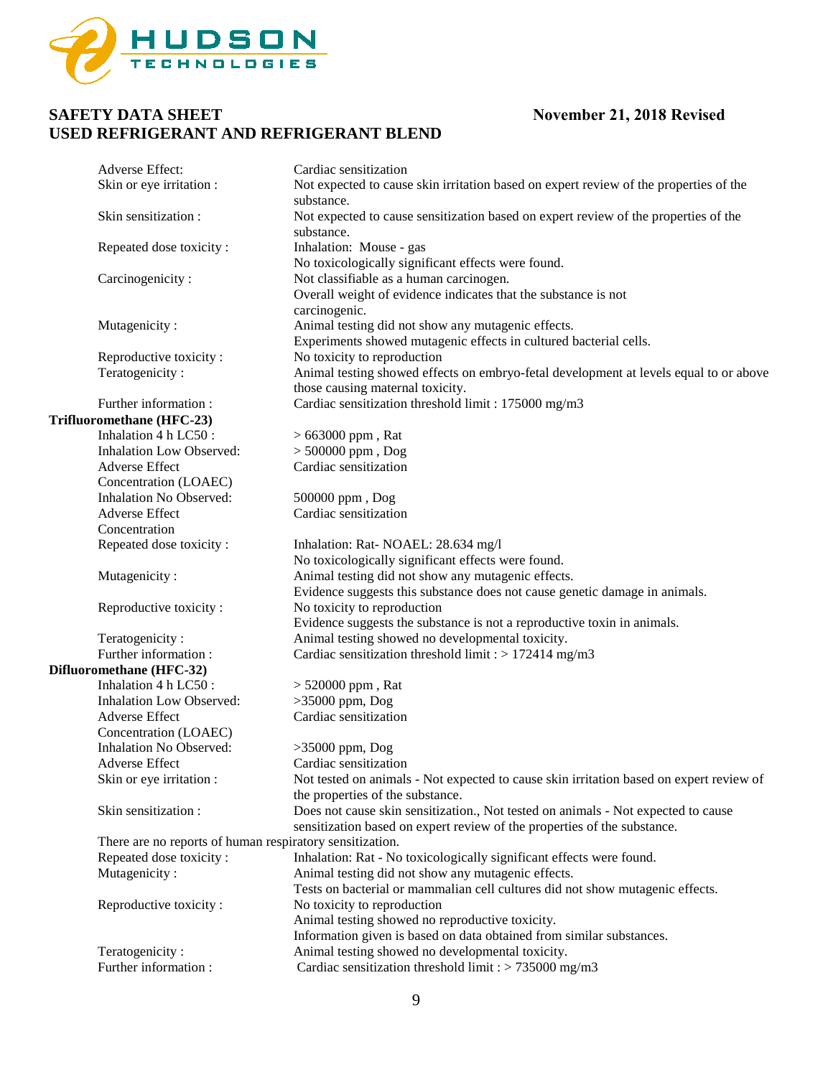

| Adverse Effect:                                          | Cardiac sensitization                                                                   |
|----------------------------------------------------------|-----------------------------------------------------------------------------------------|
| Skin or eye irritation :                                 | Not expected to cause skin irritation based on expert review of the properties of the   |
|                                                          | substance.                                                                              |
| Skin sensitization:                                      | Not expected to cause sensitization based on expert review of the properties of the     |
|                                                          | substance.                                                                              |
| Repeated dose toxicity:                                  | Inhalation: Mouse - gas                                                                 |
|                                                          | No toxicologically significant effects were found.                                      |
| Carcinogenicity:                                         | Not classifiable as a human carcinogen.                                                 |
|                                                          | Overall weight of evidence indicates that the substance is not                          |
|                                                          | carcinogenic.                                                                           |
| Mutagenicity:                                            | Animal testing did not show any mutagenic effects.                                      |
|                                                          | Experiments showed mutagenic effects in cultured bacterial cells.                       |
| Reproductive toxicity:                                   | No toxicity to reproduction                                                             |
| Teratogenicity:                                          | Animal testing showed effects on embryo-fetal development at levels equal to or above   |
|                                                          | those causing maternal toxicity.                                                        |
| Further information:                                     | Cardiac sensitization threshold limit: 175000 mg/m3                                     |
| Trifluoromethane (HFC-23)                                |                                                                                         |
| Inhalation 4 h LC50:                                     | $> 663000$ ppm, Rat                                                                     |
| <b>Inhalation Low Observed:</b>                          | $> 500000$ ppm, $Dog$                                                                   |
| <b>Adverse Effect</b>                                    | Cardiac sensitization                                                                   |
| Concentration (LOAEC)                                    |                                                                                         |
| Inhalation No Observed:                                  | 500000 ppm, Dog                                                                         |
| <b>Adverse Effect</b>                                    | Cardiac sensitization                                                                   |
| Concentration                                            |                                                                                         |
| Repeated dose toxicity:                                  | Inhalation: Rat- NOAEL: 28.634 mg/l                                                     |
|                                                          | No toxicologically significant effects were found.                                      |
| Mutagenicity:                                            | Animal testing did not show any mutagenic effects.                                      |
|                                                          | Evidence suggests this substance does not cause genetic damage in animals.              |
| Reproductive toxicity:                                   | No toxicity to reproduction                                                             |
|                                                          | Evidence suggests the substance is not a reproductive toxin in animals.                 |
| Teratogenicity:                                          | Animal testing showed no developmental toxicity.                                        |
| Further information:                                     | Cardiac sensitization threshold limit : > 172414 mg/m3                                  |
| Difluoromethane (HFC-32)                                 |                                                                                         |
| Inhalation 4 h LC50:                                     | $> 520000$ ppm, Rat                                                                     |
| Inhalation Low Observed:                                 | $>35000$ ppm, Dog                                                                       |
| Adverse Effect                                           | Cardiac sensitization                                                                   |
| Concentration (LOAEC)                                    |                                                                                         |
| Inhalation No Observed:                                  | $>35000$ ppm, Dog                                                                       |
| Adverse Effect                                           | Cardiac sensitization                                                                   |
| Skin or eye irritation :                                 | Not tested on animals - Not expected to cause skin irritation based on expert review of |
|                                                          | the properties of the substance.                                                        |
| Skin sensitization:                                      | Does not cause skin sensitization., Not tested on animals - Not expected to cause       |
|                                                          | sensitization based on expert review of the properties of the substance.                |
| There are no reports of human respiratory sensitization. |                                                                                         |
| Repeated dose toxicity:                                  | Inhalation: Rat - No toxicologically significant effects were found.                    |
| Mutagenicity:                                            | Animal testing did not show any mutagenic effects.                                      |
|                                                          | Tests on bacterial or mammalian cell cultures did not show mutagenic effects.           |
| Reproductive toxicity:                                   | No toxicity to reproduction                                                             |
|                                                          | Animal testing showed no reproductive toxicity.                                         |
|                                                          | Information given is based on data obtained from similar substances.                    |
| Teratogenicity:                                          | Animal testing showed no developmental toxicity.                                        |
| Further information:                                     | Cardiac sensitization threshold limit : > 735000 mg/m3                                  |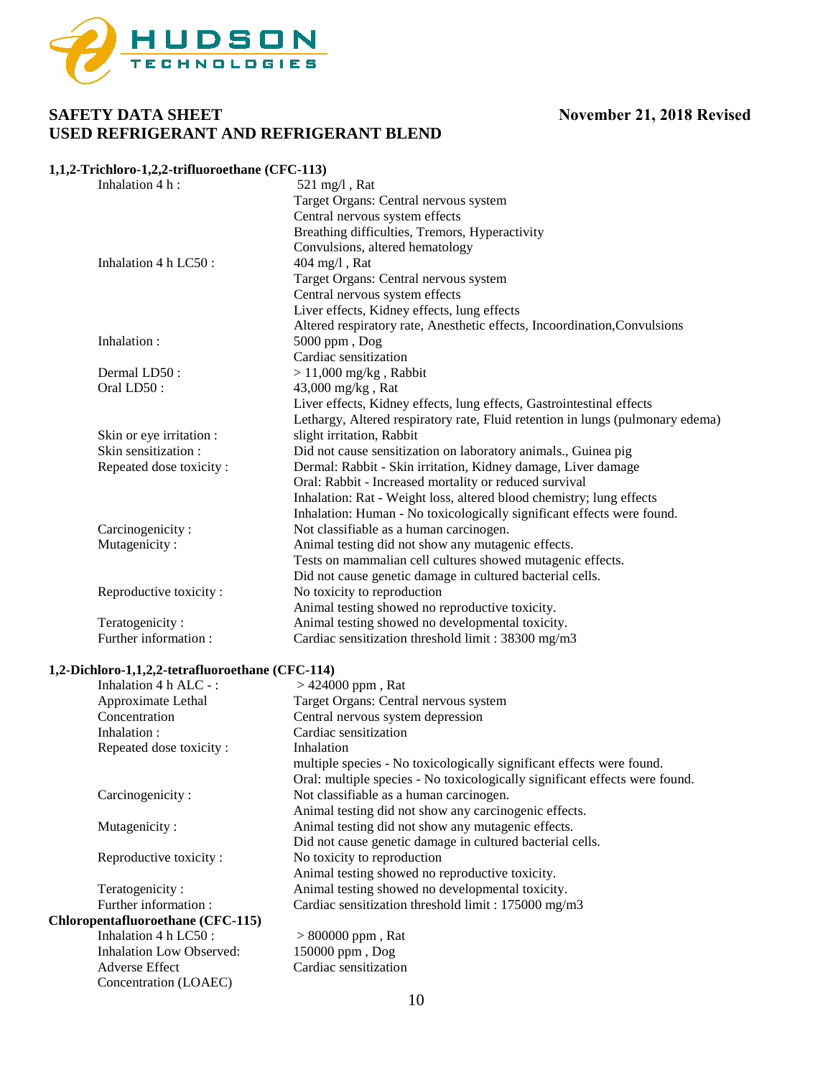

#### **1,1,2-Trichloro-1,2,2-trifluoroethane (CFC-113)**

| Inhalation 4 h:          | $521 \text{ mg/l}$ , Rat                                                       |
|--------------------------|--------------------------------------------------------------------------------|
|                          | Target Organs: Central nervous system                                          |
|                          | Central nervous system effects                                                 |
|                          | Breathing difficulties, Tremors, Hyperactivity                                 |
|                          | Convulsions, altered hematology                                                |
| Inhalation 4 h LC50 :    | 404 mg/l, Rat                                                                  |
|                          | Target Organs: Central nervous system                                          |
|                          | Central nervous system effects                                                 |
|                          | Liver effects, Kidney effects, lung effects                                    |
|                          | Altered respiratory rate, Anesthetic effects, Incoordination, Convulsions      |
| Inhalation:              | 5000 ppm, Dog                                                                  |
|                          | Cardiac sensitization                                                          |
| Dermal LD50:             | $> 11,000$ mg/kg, Rabbit                                                       |
| Oral LD50:               | 43,000 mg/kg, Rat                                                              |
|                          | Liver effects, Kidney effects, lung effects, Gastrointestinal effects          |
|                          | Lethargy, Altered respiratory rate, Fluid retention in lungs (pulmonary edema) |
| Skin or eye irritation : | slight irritation, Rabbit                                                      |
| Skin sensitization:      | Did not cause sensitization on laboratory animals., Guinea pig                 |
| Repeated dose toxicity:  | Dermal: Rabbit - Skin irritation, Kidney damage, Liver damage                  |
|                          | Oral: Rabbit - Increased mortality or reduced survival                         |
|                          | Inhalation: Rat - Weight loss, altered blood chemistry; lung effects           |
|                          | Inhalation: Human - No toxicologically significant effects were found.         |
| Carcinogenicity:         | Not classifiable as a human carcinogen.                                        |
| Mutagenicity:            | Animal testing did not show any mutagenic effects.                             |
|                          | Tests on mammalian cell cultures showed mutagenic effects.                     |
|                          | Did not cause genetic damage in cultured bacterial cells.                      |
| Reproductive toxicity:   | No toxicity to reproduction                                                    |
|                          | Animal testing showed no reproductive toxicity.                                |
| Teratogenicity:          | Animal testing showed no developmental toxicity.                               |
| Further information:     | Cardiac sensitization threshold limit: 38300 mg/m3                             |

### **1,2-Dichloro-1,1,2,2-tetrafluoroethane (CFC-114)**

Concentration (LOAEC)

| Inhalation $4 h A LC$ -:          | $> 424000$ ppm, Rat                                                         |
|-----------------------------------|-----------------------------------------------------------------------------|
| Approximate Lethal                | Target Organs: Central nervous system                                       |
| Concentration                     | Central nervous system depression                                           |
| Inhalation:                       | Cardiac sensitization                                                       |
| Repeated dose toxicity:           | Inhalation                                                                  |
|                                   | multiple species - No toxicologically significant effects were found.       |
|                                   | Oral: multiple species - No toxicologically significant effects were found. |
| Carcinogenicity:                  | Not classifiable as a human carcinogen.                                     |
|                                   | Animal testing did not show any carcinogenic effects.                       |
| Mutagenicity:                     | Animal testing did not show any mutagenic effects.                          |
|                                   | Did not cause genetic damage in cultured bacterial cells.                   |
| Reproductive toxicity:            | No toxicity to reproduction                                                 |
|                                   | Animal testing showed no reproductive toxicity.                             |
| Teratogenicity:                   | Animal testing showed no developmental toxicity.                            |
| Further information:              | Cardiac sensitization threshold limit: 175000 mg/m3                         |
| Chloropentafluoroethane (CFC-115) |                                                                             |
| Inhalation $4 h$ LC50 :           | $> 800000$ ppm, Rat                                                         |
| <b>Inhalation Low Observed:</b>   | 150000 ppm, Dog                                                             |
| <b>Adverse Effect</b>             | Cardiac sensitization                                                       |
|                                   |                                                                             |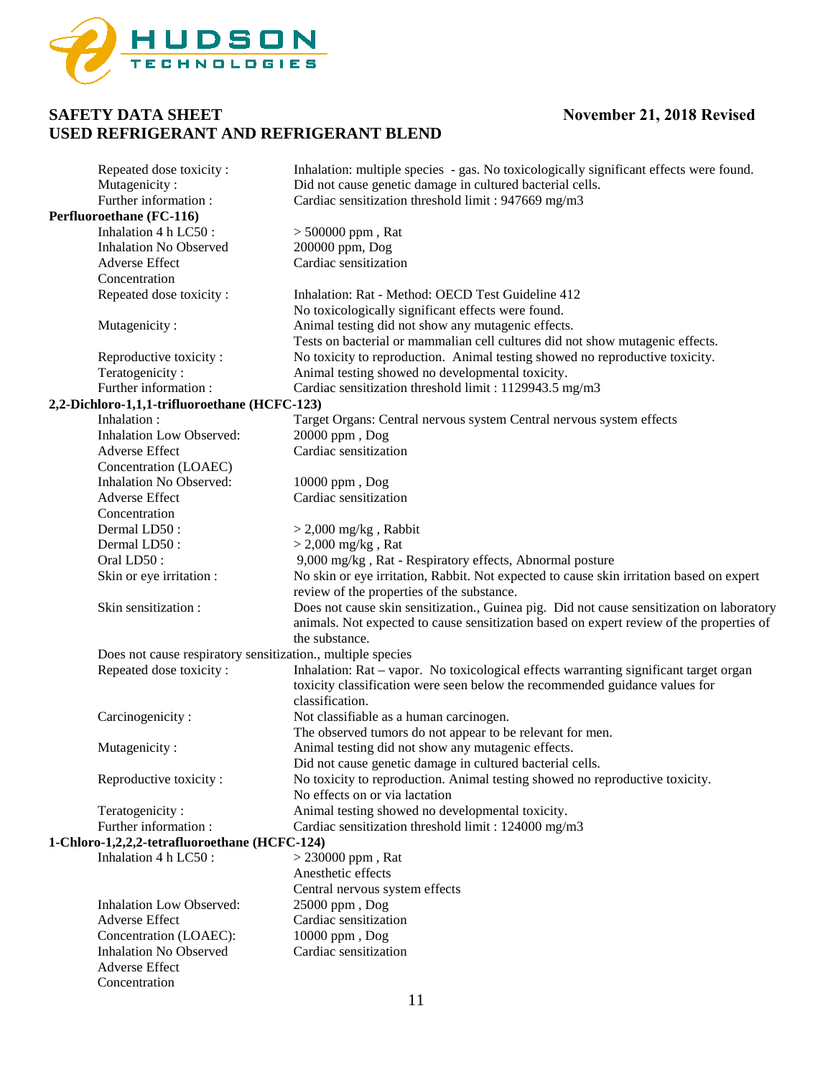

| Repeated dose toxicity:<br>Mutagenicity:                    | Inhalation: multiple species - gas. No toxicologically significant effects were found.<br>Did not cause genetic damage in cultured bacterial cells. |
|-------------------------------------------------------------|-----------------------------------------------------------------------------------------------------------------------------------------------------|
| Further information:                                        | Cardiac sensitization threshold limit : 947669 mg/m3                                                                                                |
| Perfluoroethane (FC-116)                                    |                                                                                                                                                     |
| Inhalation 4 h LC50:                                        | $> 500000$ ppm, Rat                                                                                                                                 |
| <b>Inhalation No Observed</b>                               | 200000 ppm, Dog                                                                                                                                     |
| Adverse Effect                                              | Cardiac sensitization                                                                                                                               |
| Concentration                                               |                                                                                                                                                     |
| Repeated dose toxicity:                                     | Inhalation: Rat - Method: OECD Test Guideline 412                                                                                                   |
|                                                             | No toxicologically significant effects were found.                                                                                                  |
| Mutagenicity:                                               | Animal testing did not show any mutagenic effects.                                                                                                  |
|                                                             | Tests on bacterial or mammalian cell cultures did not show mutagenic effects.                                                                       |
| Reproductive toxicity:                                      | No toxicity to reproduction. Animal testing showed no reproductive toxicity.                                                                        |
| Teratogenicity:                                             | Animal testing showed no developmental toxicity.                                                                                                    |
| Further information:                                        | Cardiac sensitization threshold limit : 1129943.5 mg/m3                                                                                             |
| 2,2-Dichloro-1,1,1-trifluoroethane (HCFC-123)               |                                                                                                                                                     |
| Inhalation:                                                 | Target Organs: Central nervous system Central nervous system effects                                                                                |
| <b>Inhalation Low Observed:</b>                             | 20000 ppm, Dog                                                                                                                                      |
| <b>Adverse Effect</b>                                       | Cardiac sensitization                                                                                                                               |
| Concentration (LOAEC)                                       |                                                                                                                                                     |
| <b>Inhalation No Observed:</b>                              | 10000 ppm, Dog                                                                                                                                      |
| Adverse Effect                                              | Cardiac sensitization                                                                                                                               |
| Concentration                                               |                                                                                                                                                     |
| Dermal LD50:                                                | $>$ 2,000 mg/kg, Rabbit                                                                                                                             |
| Dermal LD50:                                                | $>$ 2,000 mg/kg, Rat                                                                                                                                |
| Oral LD50:                                                  | 9,000 mg/kg, Rat - Respiratory effects, Abnormal posture                                                                                            |
| Skin or eye irritation :                                    | No skin or eye irritation, Rabbit. Not expected to cause skin irritation based on expert                                                            |
|                                                             | review of the properties of the substance.                                                                                                          |
| Skin sensitization:                                         | Does not cause skin sensitization., Guinea pig. Did not cause sensitization on laboratory                                                           |
|                                                             | animals. Not expected to cause sensitization based on expert review of the properties of                                                            |
|                                                             | the substance.                                                                                                                                      |
| Does not cause respiratory sensitization., multiple species |                                                                                                                                                     |
| Repeated dose toxicity:                                     | Inhalation: Rat – vapor. No toxicological effects warranting significant target organ                                                               |
|                                                             | toxicity classification were seen below the recommended guidance values for                                                                         |
|                                                             | classification.                                                                                                                                     |
| Carcinogenicity:                                            | Not classifiable as a human carcinogen.                                                                                                             |
|                                                             | The observed tumors do not appear to be relevant for men.                                                                                           |
| Mutagenicity:                                               | Animal testing did not show any mutagenic effects.                                                                                                  |
|                                                             | Did not cause genetic damage in cultured bacterial cells.                                                                                           |
| Reproductive toxicity:                                      | No toxicity to reproduction. Animal testing showed no reproductive toxicity.                                                                        |
|                                                             | No effects on or via lactation                                                                                                                      |
| Teratogenicity:                                             | Animal testing showed no developmental toxicity.                                                                                                    |
| Further information:                                        | Cardiac sensitization threshold limit: 124000 mg/m3                                                                                                 |
| 1-Chloro-1,2,2,2-tetrafluoroethane (HCFC-124)               |                                                                                                                                                     |
| Inhalation 4 h LC50:                                        | $>$ 230000 ppm, Rat                                                                                                                                 |
|                                                             | Anesthetic effects                                                                                                                                  |
|                                                             | Central nervous system effects                                                                                                                      |
| <b>Inhalation Low Observed:</b>                             | 25000 ppm, Dog                                                                                                                                      |
| Adverse Effect                                              | Cardiac sensitization                                                                                                                               |
| Concentration (LOAEC):                                      | 10000 ppm, Dog                                                                                                                                      |
| <b>Inhalation No Observed</b>                               | Cardiac sensitization                                                                                                                               |
| Adverse Effect                                              |                                                                                                                                                     |
| Concentration                                               |                                                                                                                                                     |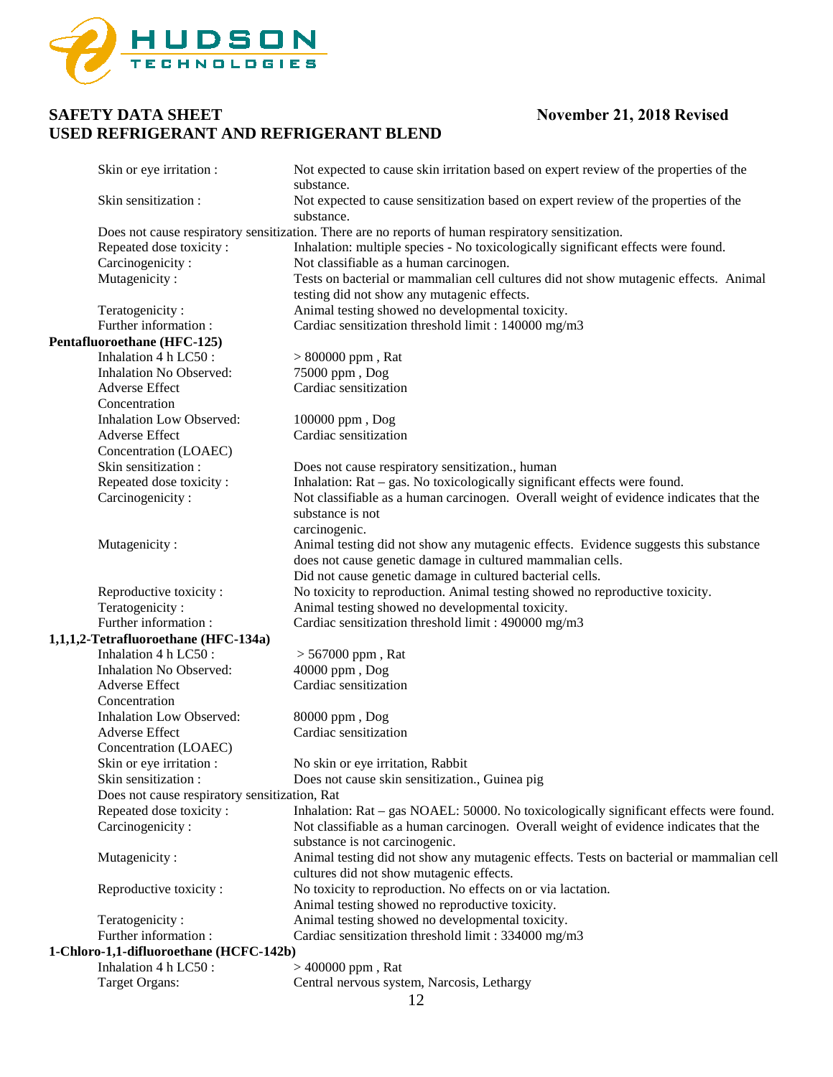

| Skin or eye irritation :                      | Not expected to cause skin irritation based on expert review of the properties of the<br>substance. |
|-----------------------------------------------|-----------------------------------------------------------------------------------------------------|
| Skin sensitization:                           | Not expected to cause sensitization based on expert review of the properties of the<br>substance.   |
|                                               | Does not cause respiratory sensitization. There are no reports of human respiratory sensitization.  |
| Repeated dose toxicity:                       | Inhalation: multiple species - No toxicologically significant effects were found.                   |
| Carcinogenicity:                              | Not classifiable as a human carcinogen.                                                             |
| Mutagenicity:                                 | Tests on bacterial or mammalian cell cultures did not show mutagenic effects. Animal                |
|                                               | testing did not show any mutagenic effects.                                                         |
| Teratogenicity:                               | Animal testing showed no developmental toxicity.                                                    |
| Further information:                          | Cardiac sensitization threshold limit : 140000 mg/m3                                                |
| Pentafluoroethane (HFC-125)                   |                                                                                                     |
| Inhalation 4 h LC50:                          | $> 800000$ ppm, Rat                                                                                 |
| Inhalation No Observed:                       | 75000 ppm, Dog                                                                                      |
| Adverse Effect                                | Cardiac sensitization                                                                               |
| Concentration                                 |                                                                                                     |
| <b>Inhalation Low Observed:</b>               | 100000 ppm, Dog                                                                                     |
| Adverse Effect                                | Cardiac sensitization                                                                               |
| Concentration (LOAEC)                         |                                                                                                     |
| Skin sensitization :                          | Does not cause respiratory sensitization., human                                                    |
| Repeated dose toxicity:                       | Inhalation: Rat – gas. No toxicologically significant effects were found.                           |
| Carcinogenicity:                              | Not classifiable as a human carcinogen. Overall weight of evidence indicates that the               |
|                                               | substance is not                                                                                    |
|                                               | carcinogenic.                                                                                       |
| Mutagenicity:                                 | Animal testing did not show any mutagenic effects. Evidence suggests this substance                 |
|                                               | does not cause genetic damage in cultured mammalian cells.                                          |
|                                               | Did not cause genetic damage in cultured bacterial cells.                                           |
| Reproductive toxicity:                        | No toxicity to reproduction. Animal testing showed no reproductive toxicity.                        |
| Teratogenicity:                               | Animal testing showed no developmental toxicity.                                                    |
| Further information:                          | Cardiac sensitization threshold limit : 490000 mg/m3                                                |
| 1,1,1,2-Tetrafluoroethane (HFC-134a)          |                                                                                                     |
| Inhalation 4 h LC50:                          | $> 567000$ ppm, Rat                                                                                 |
| Inhalation No Observed:                       | 40000 ppm, Dog                                                                                      |
| Adverse Effect                                | Cardiac sensitization                                                                               |
| Concentration                                 |                                                                                                     |
| <b>Inhalation Low Observed:</b>               | 80000 ppm, Dog                                                                                      |
| Adverse Effect                                | Cardiac sensitization                                                                               |
| Concentration (LOAEC)                         |                                                                                                     |
| Skin or eye irritation :                      | No skin or eye irritation, Rabbit                                                                   |
| Skin sensitization :                          | Does not cause skin sensitization., Guinea pig                                                      |
| Does not cause respiratory sensitization, Rat |                                                                                                     |
| Repeated dose toxicity:                       | Inhalation: Rat – gas NOAEL: 50000. No toxicologically significant effects were found.              |
| Carcinogenicity:                              | Not classifiable as a human carcinogen. Overall weight of evidence indicates that the               |
|                                               | substance is not carcinogenic.                                                                      |
| Mutagenicity:                                 | Animal testing did not show any mutagenic effects. Tests on bacterial or mammalian cell             |
|                                               | cultures did not show mutagenic effects.                                                            |
| Reproductive toxicity:                        | No toxicity to reproduction. No effects on or via lactation.                                        |
|                                               | Animal testing showed no reproductive toxicity.                                                     |
| Teratogenicity:                               | Animal testing showed no developmental toxicity.                                                    |
| Further information:                          | Cardiac sensitization threshold limit: 334000 mg/m3                                                 |
| 1-Chloro-1,1-difluoroethane (HCFC-142b)       |                                                                                                     |
| Inhalation 4 h LC50:                          | $>400000$ ppm, Rat                                                                                  |
| <b>Target Organs:</b>                         | Central nervous system, Narcosis, Lethargy                                                          |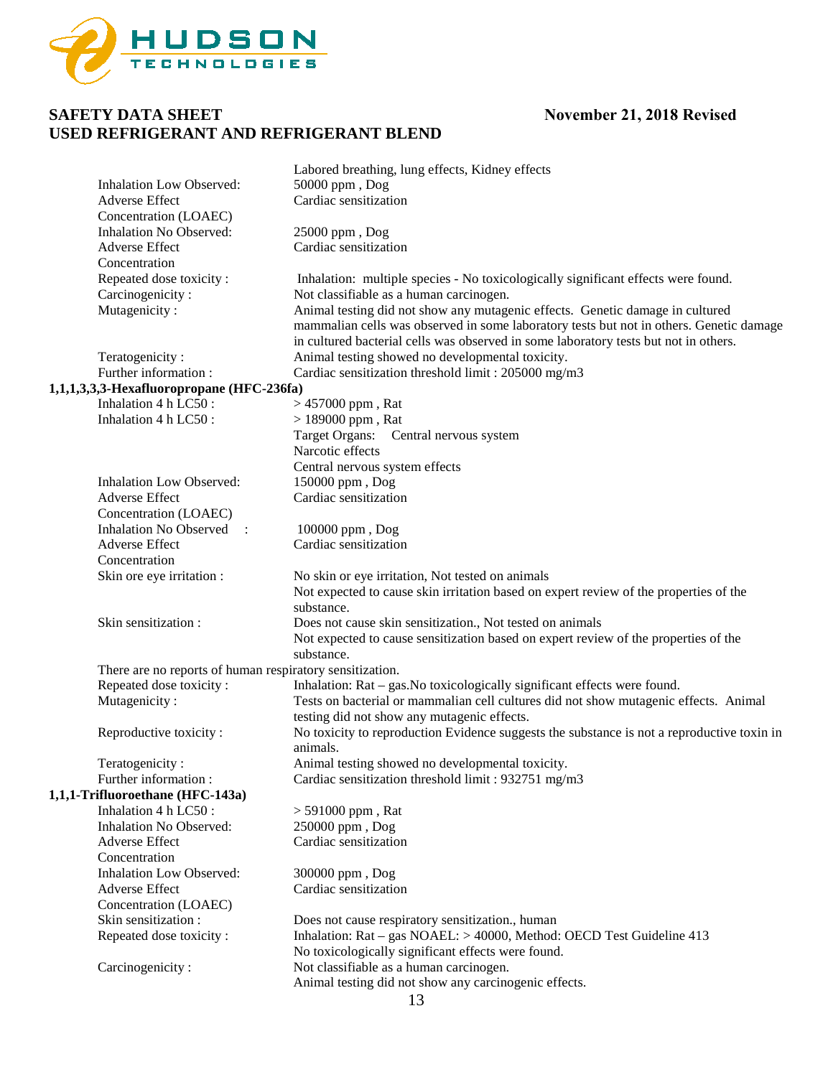

|                                                          |                                           | Labored breathing, lung effects, Kidney effects                                                                                                                                                                                                                  |
|----------------------------------------------------------|-------------------------------------------|------------------------------------------------------------------------------------------------------------------------------------------------------------------------------------------------------------------------------------------------------------------|
|                                                          | <b>Inhalation Low Observed:</b>           | 50000 ppm, Dog                                                                                                                                                                                                                                                   |
|                                                          | <b>Adverse Effect</b>                     | Cardiac sensitization                                                                                                                                                                                                                                            |
|                                                          | Concentration (LOAEC)                     |                                                                                                                                                                                                                                                                  |
|                                                          | Inhalation No Observed:                   | 25000 ppm, Dog                                                                                                                                                                                                                                                   |
|                                                          | Adverse Effect                            | Cardiac sensitization                                                                                                                                                                                                                                            |
|                                                          | Concentration                             |                                                                                                                                                                                                                                                                  |
|                                                          | Repeated dose toxicity:                   | Inhalation: multiple species - No toxicologically significant effects were found.                                                                                                                                                                                |
|                                                          | Carcinogenicity:                          | Not classifiable as a human carcinogen.                                                                                                                                                                                                                          |
|                                                          | Mutagenicity:                             | Animal testing did not show any mutagenic effects. Genetic damage in cultured<br>mammalian cells was observed in some laboratory tests but not in others. Genetic damage<br>in cultured bacterial cells was observed in some laboratory tests but not in others. |
|                                                          | Teratogenicity:                           | Animal testing showed no developmental toxicity.                                                                                                                                                                                                                 |
|                                                          | Further information:                      | Cardiac sensitization threshold limit: 205000 mg/m3                                                                                                                                                                                                              |
|                                                          | 1,1,1,3,3,3-Hexafluoropropane (HFC-236fa) |                                                                                                                                                                                                                                                                  |
|                                                          | Inhalation 4 h LC50 :                     | $> 457000$ ppm, Rat                                                                                                                                                                                                                                              |
|                                                          | Inhalation 4 h LC50 :                     | $> 189000$ ppm, Rat                                                                                                                                                                                                                                              |
|                                                          |                                           | Target Organs: Central nervous system                                                                                                                                                                                                                            |
|                                                          |                                           | Narcotic effects                                                                                                                                                                                                                                                 |
|                                                          |                                           | Central nervous system effects                                                                                                                                                                                                                                   |
|                                                          | <b>Inhalation Low Observed:</b>           | 150000 ppm, Dog                                                                                                                                                                                                                                                  |
|                                                          | Adverse Effect                            | Cardiac sensitization                                                                                                                                                                                                                                            |
|                                                          | Concentration (LOAEC)                     |                                                                                                                                                                                                                                                                  |
|                                                          | Inhalation No Observed :                  | 100000 ppm, Dog                                                                                                                                                                                                                                                  |
|                                                          | <b>Adverse Effect</b>                     | Cardiac sensitization                                                                                                                                                                                                                                            |
|                                                          | Concentration                             |                                                                                                                                                                                                                                                                  |
|                                                          | Skin ore eye irritation :                 | No skin or eye irritation, Not tested on animals                                                                                                                                                                                                                 |
|                                                          |                                           | Not expected to cause skin irritation based on expert review of the properties of the<br>substance.                                                                                                                                                              |
|                                                          | Skin sensitization:                       | Does not cause skin sensitization., Not tested on animals                                                                                                                                                                                                        |
|                                                          |                                           | Not expected to cause sensitization based on expert review of the properties of the<br>substance.                                                                                                                                                                |
| There are no reports of human respiratory sensitization. |                                           |                                                                                                                                                                                                                                                                  |
|                                                          | Repeated dose toxicity:                   | Inhalation: Rat – gas. No toxicologically significant effects were found.                                                                                                                                                                                        |
|                                                          | Mutagenicity:                             | Tests on bacterial or mammalian cell cultures did not show mutagenic effects. Animal<br>testing did not show any mutagenic effects.                                                                                                                              |
|                                                          | Reproductive toxicity:                    | No toxicity to reproduction Evidence suggests the substance is not a reproductive toxin in<br>animals.                                                                                                                                                           |
|                                                          | Teratogenicity:                           | Animal testing showed no developmental toxicity.                                                                                                                                                                                                                 |
|                                                          | Further information:                      | Cardiac sensitization threshold limit: 932751 mg/m3                                                                                                                                                                                                              |
|                                                          | 1,1,1-Trifluoroethane (HFC-143a)          |                                                                                                                                                                                                                                                                  |
|                                                          | Inhalation 4 h LC50:                      | $>591000$ ppm , Rat                                                                                                                                                                                                                                              |
|                                                          | <b>Inhalation No Observed:</b>            | 250000 ppm, Dog                                                                                                                                                                                                                                                  |
|                                                          | <b>Adverse Effect</b>                     | Cardiac sensitization                                                                                                                                                                                                                                            |
|                                                          | Concentration                             |                                                                                                                                                                                                                                                                  |
|                                                          | <b>Inhalation Low Observed:</b>           | 300000 ppm, Dog                                                                                                                                                                                                                                                  |
|                                                          | Adverse Effect                            | Cardiac sensitization                                                                                                                                                                                                                                            |
|                                                          | Concentration (LOAEC)                     |                                                                                                                                                                                                                                                                  |
|                                                          | Skin sensitization:                       | Does not cause respiratory sensitization., human                                                                                                                                                                                                                 |
|                                                          | Repeated dose toxicity:                   | Inhalation: Rat – gas NOAEL: > 40000, Method: OECD Test Guideline 413<br>No toxicologically significant effects were found.                                                                                                                                      |
|                                                          | Carcinogenicity:                          | Not classifiable as a human carcinogen.<br>Animal testing did not show any carcinogenic effects.                                                                                                                                                                 |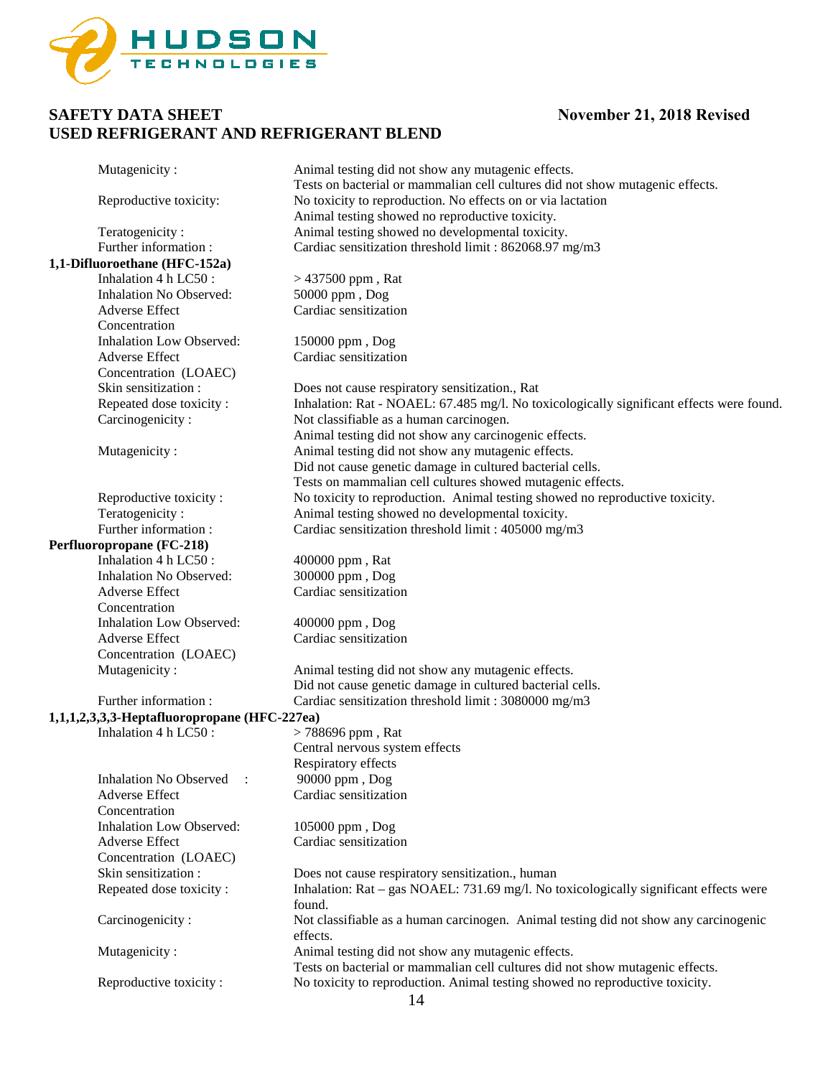

| Mutagenicity:                                | Animal testing did not show any mutagenic effects.                                                                                  |
|----------------------------------------------|-------------------------------------------------------------------------------------------------------------------------------------|
|                                              | Tests on bacterial or mammalian cell cultures did not show mutagenic effects.                                                       |
| Reproductive toxicity:                       | No toxicity to reproduction. No effects on or via lactation                                                                         |
|                                              | Animal testing showed no reproductive toxicity.                                                                                     |
| Teratogenicity:                              | Animal testing showed no developmental toxicity.                                                                                    |
| Further information:                         | Cardiac sensitization threshold limit: 862068.97 mg/m3                                                                              |
| 1,1-Difluoroethane (HFC-152a)                |                                                                                                                                     |
| Inhalation 4 h LC50:                         | $> 437500$ ppm, Rat                                                                                                                 |
| <b>Inhalation No Observed:</b>               | 50000 ppm, Dog                                                                                                                      |
| <b>Adverse Effect</b>                        | Cardiac sensitization                                                                                                               |
| Concentration                                |                                                                                                                                     |
| <b>Inhalation Low Observed:</b>              | 150000 ppm, Dog                                                                                                                     |
| <b>Adverse Effect</b>                        | Cardiac sensitization                                                                                                               |
| Concentration (LOAEC)                        |                                                                                                                                     |
| Skin sensitization :                         | Does not cause respiratory sensitization., Rat                                                                                      |
| Repeated dose toxicity:                      | Inhalation: Rat - NOAEL: 67.485 mg/l. No toxicologically significant effects were found.                                            |
| Carcinogenicity:                             | Not classifiable as a human carcinogen.                                                                                             |
|                                              | Animal testing did not show any carcinogenic effects.                                                                               |
| Mutagenicity:                                | Animal testing did not show any mutagenic effects.                                                                                  |
|                                              | Did not cause genetic damage in cultured bacterial cells.                                                                           |
|                                              | Tests on mammalian cell cultures showed mutagenic effects.                                                                          |
| Reproductive toxicity:                       | No toxicity to reproduction. Animal testing showed no reproductive toxicity.                                                        |
| Teratogenicity:                              | Animal testing showed no developmental toxicity.                                                                                    |
| Further information:                         | Cardiac sensitization threshold limit : 405000 mg/m3                                                                                |
| Perfluoropropane (FC-218)                    |                                                                                                                                     |
| Inhalation 4 h LC50:                         | 400000 ppm, Rat                                                                                                                     |
| Inhalation No Observed:                      | 300000 ppm, Dog                                                                                                                     |
| Adverse Effect                               | Cardiac sensitization                                                                                                               |
| Concentration                                |                                                                                                                                     |
| <b>Inhalation Low Observed:</b>              | 400000 ppm, Dog                                                                                                                     |
| <b>Adverse Effect</b>                        | Cardiac sensitization                                                                                                               |
| Concentration (LOAEC)                        |                                                                                                                                     |
| Mutagenicity:                                | Animal testing did not show any mutagenic effects.                                                                                  |
|                                              | Did not cause genetic damage in cultured bacterial cells.                                                                           |
| Further information:                         | Cardiac sensitization threshold limit: 3080000 mg/m3                                                                                |
| 1,1,1,2,3,3,3-Heptafluoropropane (HFC-227ea) |                                                                                                                                     |
| Inhalation 4 h LC50 :                        | $> 788696$ ppm, Rat                                                                                                                 |
|                                              | Central nervous system effects                                                                                                      |
|                                              | Respiratory effects                                                                                                                 |
| <b>Inhalation No Observed</b>                | 90000 ppm, Dog                                                                                                                      |
| <b>Adverse Effect</b>                        | Cardiac sensitization                                                                                                               |
| Concentration                                |                                                                                                                                     |
| <b>Inhalation Low Observed:</b>              | 105000 ppm, Dog                                                                                                                     |
| <b>Adverse Effect</b>                        | Cardiac sensitization                                                                                                               |
| Concentration (LOAEC)                        |                                                                                                                                     |
| Skin sensitization:                          | Does not cause respiratory sensitization., human                                                                                    |
| Repeated dose toxicity:                      | Inhalation: Rat – gas NOAEL: 731.69 mg/l. No toxicologically significant effects were<br>found.                                     |
| Carcinogenicity:                             | Not classifiable as a human carcinogen. Animal testing did not show any carcinogenic<br>effects.                                    |
| Mutagenicity:                                | Animal testing did not show any mutagenic effects.<br>Tests on bacterial or mammalian cell cultures did not show mutagenic effects. |
| Reproductive toxicity:                       | No toxicity to reproduction. Animal testing showed no reproductive toxicity.<br>$1\Lambda$                                          |
|                                              |                                                                                                                                     |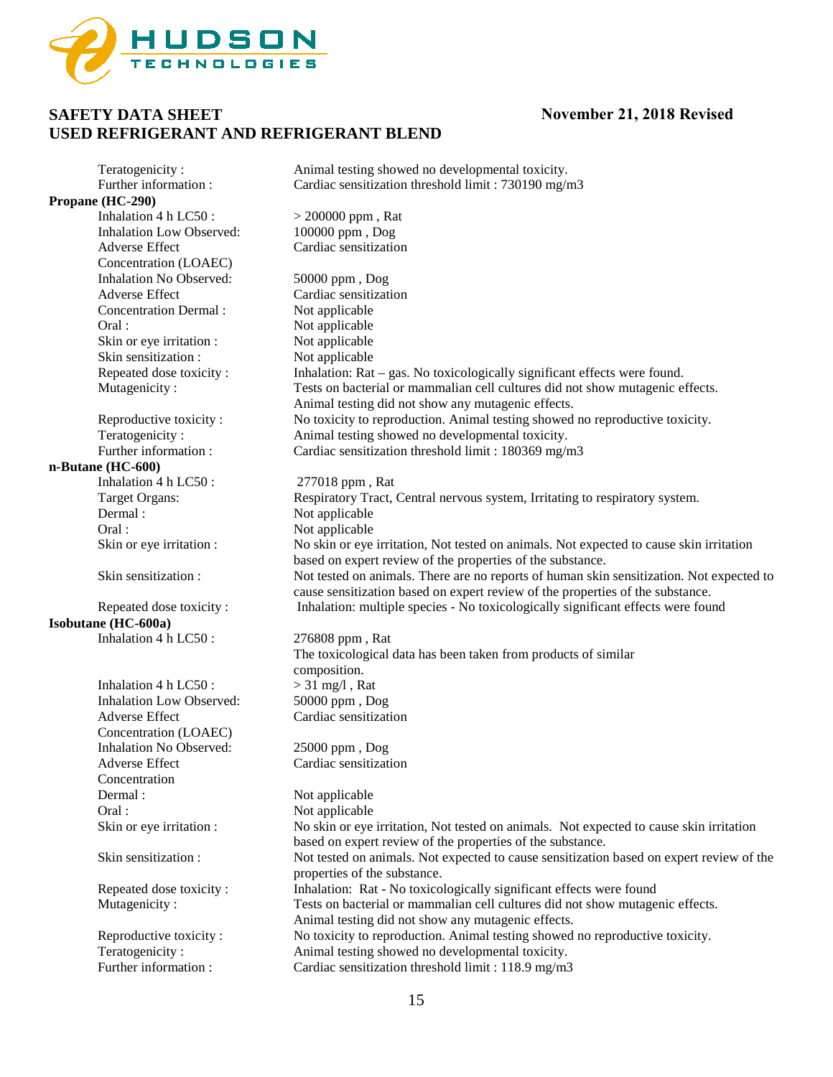

Teratogenicity : Animal testing showed no developmental toxicity. Further information : Cardiac sensitization threshold limit : 730190 mg/m3 **Propane (HC-290)**<br>Inhalation 4 h LC50 :  $>$  200000 ppm , Rat 100000 ppm , Dog Inhalation Low Observed: Adverse Effect Cardiac sensitization Concentration (LOAEC) Inhalation No Observed: 50000 ppm , Dog Adverse Effect Cardiac sensitization<br>
Concentration Dermal : Not applicable Concentration Dermal : Oral : Not applicable Skin or eye irritation :<br>
Skin sensitization :<br>
Not applicable<br>
Not applicable Skin sensitization : Repeated dose toxicity : Inhalation: Rat – gas. No toxicologically significant effects were found. Mutagenicity : Tests on bacterial or mammalian cell cultures did not show mutagenic effects. Animal testing did not show any mutagenic effects. Reproductive toxicity : No toxicity to reproduction. Animal testing showed no reproductive toxicity. Teratogenicity : <br>
Animal testing showed no developmental toxicity.<br>
Cardiac sensitization threshold limit : 180369 mg/n Cardiac sensitization threshold limit :  $180369$  mg/m3 **n-Butane (HC-600)** Inhalation 4 h LC50 : 277018 ppm, Rat Target Organs: Respiratory Tract, Central nervous system, Irritating to respiratory system. Dermal : Not applicable Oral : Not applicable Skin or eye irritation : No skin or eye irritation, Not tested on animals. Not expected to cause skin irritation based on expert review of the properties of the substance. Skin sensitization : Not tested on animals. There are no reports of human skin sensitization. Not expected to cause sensitization based on expert review of the properties of the substance. Repeated dose toxicity : Inhalation: multiple species - No toxicologically significant effects were found **Isobutane (HC-600a)** Inhalation 4 h LC50 : 276808 ppm, Rat The toxicological data has been taken from products of similar composition.<br> $> 31$  mg/l, Rat Inhalation  $4 h$  LC50 : Inhalation Low Observed: 50000 ppm , Dog Adverse Effect Cardiac sensitization Concentration (LOAEC) Inhalation No Observed: 25000 ppm , Dog Adverse Effect Cardiac sensitization Concentration Dermal : Not applicable Oral : Not applicable Skin or eye irritation : No skin or eye irritation, Not tested on animals. Not expected to cause skin irritation based on expert review of the properties of the substance. Skin sensitization : Not tested on animals. Not expected to cause sensitization based on expert review of the properties of the substance. Repeated dose toxicity : Inhalation: Rat - No toxicologically significant effects were found Mutagenicity : Tests on bacterial or mammalian cell cultures did not show mutagenic effects. Animal testing did not show any mutagenic effects. Reproductive toxicity : No toxicity to reproduction. Animal testing showed no reproductive toxicity. Teratogenicity : Animal testing showed no developmental toxicity. Further information : Cardiac sensitization threshold limit : 118.9 mg/m3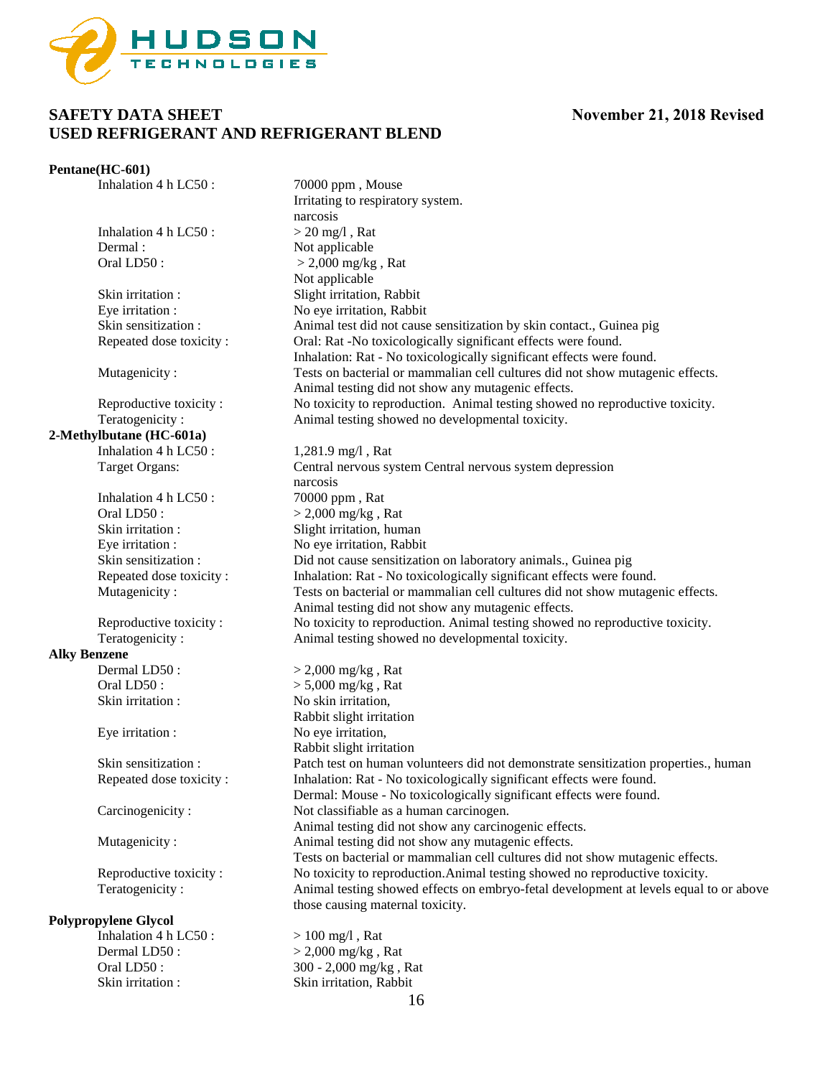

#### **Pentane(HC-601)**

Inhalation 4 h LC50 : 70000 ppm, Mouse

Inhalation 4 h LC50 :  $> 20$  mg/l, Rat Dermal :<br>
Oral LD50 :<br>  $> 2.000 \text{ mg/kg}$ 

**2-Methylbutane (HC-601a)** Inhalation 4 h LC50 :  $1,281.9 \text{ mg/l}$ , Rat

> Inhalation  $4 h$  LC50: Oral LD50 :  $> 2,000$  mg/kg, Rat

# **Alky Benzene**

#### **Polypropylene Glycol**

Inhalation 4 h LC50 :  $> 100$  mg/l, Rat

Irritating to respiratory system. narcosis  $>$  2,000 mg/kg, Rat Not applicable Skin irritation : Slight irritation, Rabbit Eye irritation : No eye irritation, Rabbit Skin sensitization : Animal test did not cause sensitization by skin contact., Guinea pig Repeated dose toxicity : Oral: Rat -No toxicologically significant effects were found. Inhalation: Rat - No toxicologically significant effects were found. Mutagenicity : Tests on bacterial or mammalian cell cultures did not show mutagenic effects. Animal testing did not show any mutagenic effects. Reproductive toxicity : No toxicity to reproduction. Animal testing showed no reproductive toxicity. Teratogenicity : Animal testing showed no developmental toxicity. Target Organs: Central nervous system Central nervous system depression narcosis<br>70000 ppm, Rat Skin irritation : Slight irritation, human Eye irritation : No eye irritation, Rabbit Skin sensitization : Did not cause sensitization on laboratory animals., Guinea pig Repeated dose toxicity : Inhalation: Rat - No toxicologically significant effects were found.<br>Mutagenicity : Tests on bacterial or mammalian cell cultures did not show mutage Tests on bacterial or mammalian cell cultures did not show mutagenic effects. Animal testing did not show any mutagenic effects. Reproductive toxicity : No toxicity to reproduction. Animal testing showed no reproductive toxicity.<br>Teratogenicity : Animal testing showed no developmental toxicity. Animal testing showed no developmental toxicity.  $>$  2,000 mg/kg, Rat Oral LD50 :  $> 5,000$  mg/kg, Rat Skin irritation : No skin irritation, Rabbit slight irritation Eye irritation : No eye irritation, Rabbit slight irritation Skin sensitization : Patch test on human volunteers did not demonstrate sensitization properties., human Repeated dose toxicity : Inhalation: Rat - No toxicologically significant effects were found. Dermal: Mouse - No toxicologically significant effects were found. Carcinogenicity : Not classifiable as a human carcinogen. Animal testing did not show any carcinogenic effects. Mutagenicity : Animal testing did not show any mutagenic effects. Tests on bacterial or mammalian cell cultures did not show mutagenic effects. Reproductive toxicity : No toxicity to reproduction.Animal testing showed no reproductive toxicity. Teratogenicity : Animal testing showed effects on embryo-fetal development at levels equal to or above those causing maternal toxicity.

Dermal LD50 :  $> 2,000$  mg/kg, Rat Oral LD50 : 300 - 2,000 mg/kg , Rat Skin irritation : Skin irritation, Rabbit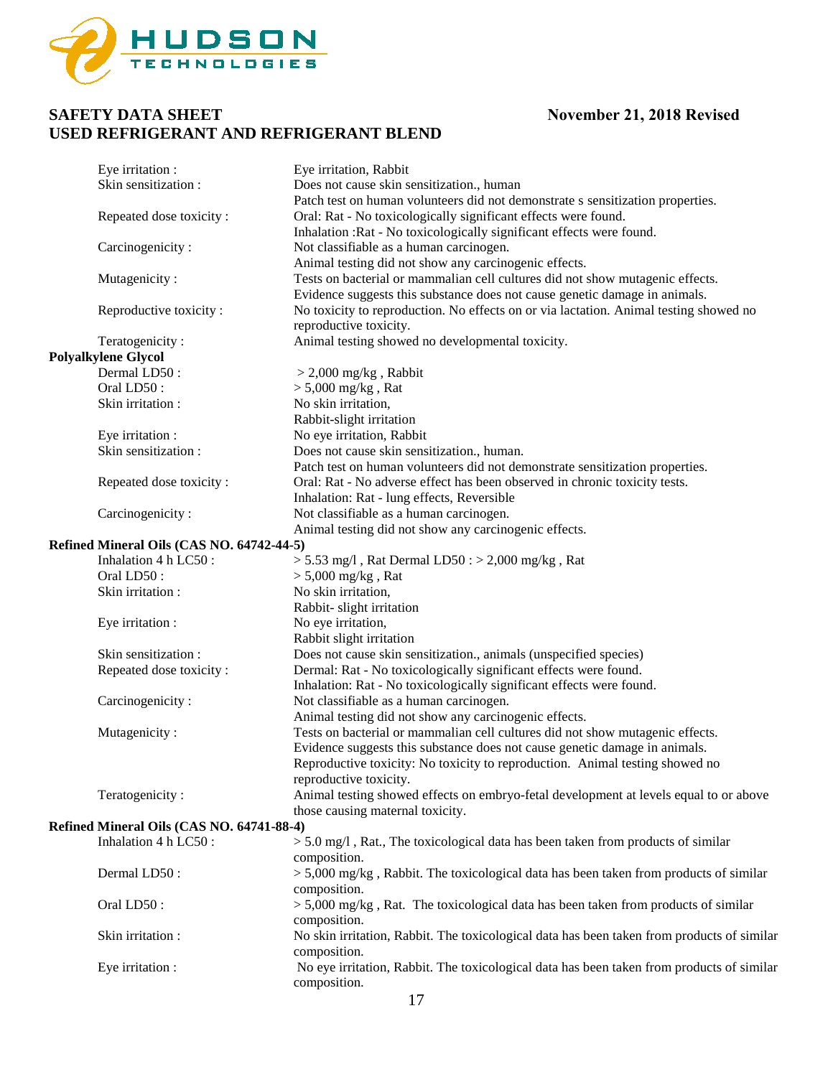

| Eye irritation :                          | Eye irritation, Rabbit                                                                     |
|-------------------------------------------|--------------------------------------------------------------------------------------------|
| Skin sensitization:                       | Does not cause skin sensitization., human                                                  |
|                                           | Patch test on human volunteers did not demonstrate s sensitization properties.             |
| Repeated dose toxicity:                   | Oral: Rat - No toxicologically significant effects were found.                             |
|                                           | Inhalation : Rat - No toxicologically significant effects were found.                      |
| Carcinogenicity:                          | Not classifiable as a human carcinogen.                                                    |
|                                           | Animal testing did not show any carcinogenic effects.                                      |
| Mutagenicity:                             | Tests on bacterial or mammalian cell cultures did not show mutagenic effects.              |
|                                           | Evidence suggests this substance does not cause genetic damage in animals.                 |
| Reproductive toxicity:                    | No toxicity to reproduction. No effects on or via lactation. Animal testing showed no      |
|                                           | reproductive toxicity.                                                                     |
| Teratogenicity:                           | Animal testing showed no developmental toxicity.                                           |
| <b>Polyalkylene Glycol</b>                |                                                                                            |
| Dermal LD50:                              | $>$ 2,000 mg/kg, Rabbit                                                                    |
| Oral LD50:                                | $> 5,000$ mg/kg, Rat                                                                       |
| Skin irritation :                         | No skin irritation,                                                                        |
|                                           | Rabbit-slight irritation                                                                   |
| Eye irritation :                          | No eye irritation, Rabbit                                                                  |
| Skin sensitization:                       | Does not cause skin sensitization., human.                                                 |
|                                           | Patch test on human volunteers did not demonstrate sensitization properties.               |
| Repeated dose toxicity:                   | Oral: Rat - No adverse effect has been observed in chronic toxicity tests.                 |
|                                           | Inhalation: Rat - lung effects, Reversible                                                 |
| Carcinogenicity:                          | Not classifiable as a human carcinogen.                                                    |
|                                           | Animal testing did not show any carcinogenic effects.                                      |
| Refined Mineral Oils (CAS NO. 64742-44-5) |                                                                                            |
| Inhalation 4 h LC50:                      | $> 5.53$ mg/l, Rat Dermal LD50 : $> 2,000$ mg/kg, Rat                                      |
| Oral LD50:                                | $> 5,000$ mg/kg, Rat                                                                       |
| Skin irritation :                         | No skin irritation,                                                                        |
|                                           | Rabbit- slight irritation                                                                  |
| Eye irritation :                          | No eye irritation,                                                                         |
|                                           | Rabbit slight irritation                                                                   |
| Skin sensitization:                       | Does not cause skin sensitization., animals (unspecified species)                          |
| Repeated dose toxicity:                   | Dermal: Rat - No toxicologically significant effects were found.                           |
|                                           | Inhalation: Rat - No toxicologically significant effects were found.                       |
| Carcinogenicity:                          | Not classifiable as a human carcinogen.                                                    |
|                                           | Animal testing did not show any carcinogenic effects.                                      |
| Mutagenicity:                             | Tests on bacterial or mammalian cell cultures did not show mutagenic effects.              |
|                                           | Evidence suggests this substance does not cause genetic damage in animals.                 |
|                                           | Reproductive toxicity: No toxicity to reproduction. Animal testing showed no               |
|                                           | reproductive toxicity.                                                                     |
| Teratogenicity:                           | Animal testing showed effects on embryo-fetal development at levels equal to or above      |
|                                           | those causing maternal toxicity.                                                           |
| Refined Mineral Oils (CAS NO. 64741-88-4) |                                                                                            |
| Inhalation 4 h LC50:                      | $>$ 5.0 mg/l, Rat., The toxicological data has been taken from products of similar         |
|                                           | composition.                                                                               |
| Dermal LD50:                              | $>$ 5,000 mg/kg, Rabbit. The toxicological data has been taken from products of similar    |
|                                           | composition.                                                                               |
| Oral LD50:                                | $>$ 5,000 mg/kg, Rat. The toxicological data has been taken from products of similar       |
|                                           | composition.                                                                               |
| Skin irritation:                          | No skin irritation, Rabbit. The toxicological data has been taken from products of similar |
|                                           | composition.                                                                               |
| Eye irritation :                          | No eye irritation, Rabbit. The toxicological data has been taken from products of similar  |
|                                           | composition.                                                                               |
|                                           | 1 <sub>7</sub>                                                                             |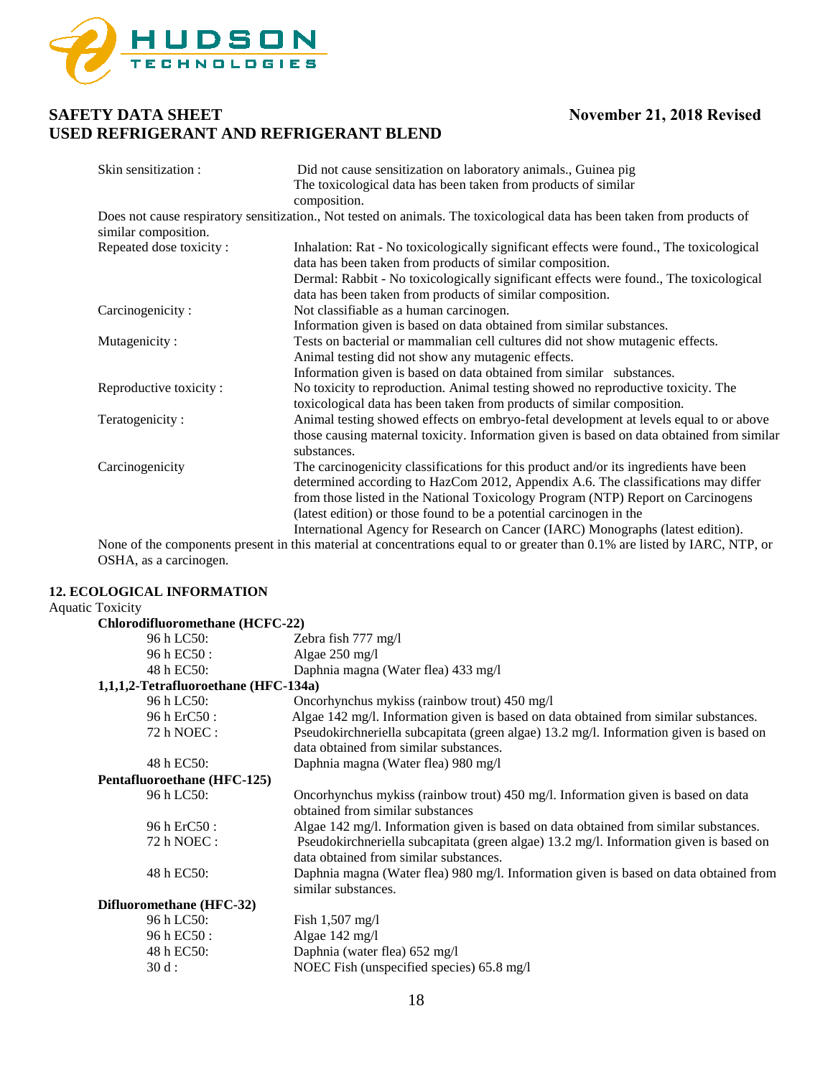

| Skin sensitization:     | Did not cause sensitization on laboratory animals., Guinea pig                                                               |
|-------------------------|------------------------------------------------------------------------------------------------------------------------------|
|                         | The toxicological data has been taken from products of similar                                                               |
|                         | composition.                                                                                                                 |
|                         | Does not cause respiratory sensitization., Not tested on animals. The toxicological data has been taken from products of     |
| similar composition.    |                                                                                                                              |
| Repeated dose toxicity: | Inhalation: Rat - No toxicologically significant effects were found., The toxicological                                      |
|                         | data has been taken from products of similar composition.                                                                    |
|                         | Dermal: Rabbit - No toxicologically significant effects were found., The toxicological                                       |
|                         | data has been taken from products of similar composition.                                                                    |
| Carcinogenicity:        | Not classifiable as a human carcinogen.                                                                                      |
|                         | Information given is based on data obtained from similar substances.                                                         |
| Mutagenicity:           | Tests on bacterial or mammalian cell cultures did not show mutagenic effects.                                                |
|                         | Animal testing did not show any mutagenic effects.                                                                           |
|                         | Information given is based on data obtained from similar substances.                                                         |
| Reproductive toxicity:  | No toxicity to reproduction. Animal testing showed no reproductive toxicity. The                                             |
|                         | toxicological data has been taken from products of similar composition.                                                      |
| Teratogenicity:         | Animal testing showed effects on embryo-fetal development at levels equal to or above                                        |
|                         | those causing maternal toxicity. Information given is based on data obtained from similar                                    |
|                         | substances.                                                                                                                  |
| Carcinogenicity         | The carcinogenicity classifications for this product and/or its ingredients have been                                        |
|                         | determined according to HazCom 2012, Appendix A.6. The classifications may differ                                            |
|                         | from those listed in the National Toxicology Program (NTP) Report on Carcinogens                                             |
|                         | (latest edition) or those found to be a potential carcinogen in the                                                          |
|                         | International Agency for Research on Cancer (IARC) Monographs (latest edition).                                              |
|                         | None of the components present in this material at concentrations equal to or greater than $0.1\%$ are listed by LARC NTP or |

None of the components present in this material at concentrations equal to or greater than 0.1% are listed by IARC, NTP, or OSHA, as a carcinogen.

### **12. ECOLOGICAL INFORMATION**

### Aquatic Toxicity

| Chlorodifluoromethane (HCFC-22)      |                                                                                                                                  |
|--------------------------------------|----------------------------------------------------------------------------------------------------------------------------------|
| 96 h LC50:                           | Zebra fish 777 mg/l                                                                                                              |
| 96 h EC50 :                          | Algae 250 mg/l                                                                                                                   |
| 48 h EC50:                           | Daphnia magna (Water flea) 433 mg/l                                                                                              |
| 1,1,1,2-Tetrafluoroethane (HFC-134a) |                                                                                                                                  |
| 96 h LC50:                           | Oncorhynchus mykiss (rainbow trout) 450 mg/l                                                                                     |
| 96 h ErC50 :                         | Algae 142 mg/l. Information given is based on data obtained from similar substances.                                             |
| 72 h NOEC :                          | Pseudokirchneriella subcapitata (green algae) 13.2 mg/l. Information given is based on<br>data obtained from similar substances. |
| 48 h EC50:                           | Daphnia magna (Water flea) 980 mg/l                                                                                              |
| Pentafluoroethane (HFC-125)          |                                                                                                                                  |
| 96 h LC50:                           | Oncorhynchus mykiss (rainbow trout) 450 mg/l. Information given is based on data<br>obtained from similar substances             |
| 96 h ErC50 :                         | Algae 142 mg/l. Information given is based on data obtained from similar substances.                                             |
| 72 h NOEC :                          | Pseudokirchneriella subcapitata (green algae) 13.2 mg/l. Information given is based on<br>data obtained from similar substances. |
| 48 h EC50:                           | Daphnia magna (Water flea) 980 mg/l. Information given is based on data obtained from<br>similar substances.                     |
| Difluoromethane (HFC-32)             |                                                                                                                                  |
| 96 h LC50:                           | Fish $1,507 \text{ mg/l}$                                                                                                        |
| 96 h EC50 :                          | Algae $142 \text{ mg/l}$                                                                                                         |
| 48 h EC50:                           | Daphnia (water flea) 652 mg/l                                                                                                    |
| $30d$ :                              | NOEC Fish (unspecified species) 65.8 mg/l                                                                                        |
|                                      |                                                                                                                                  |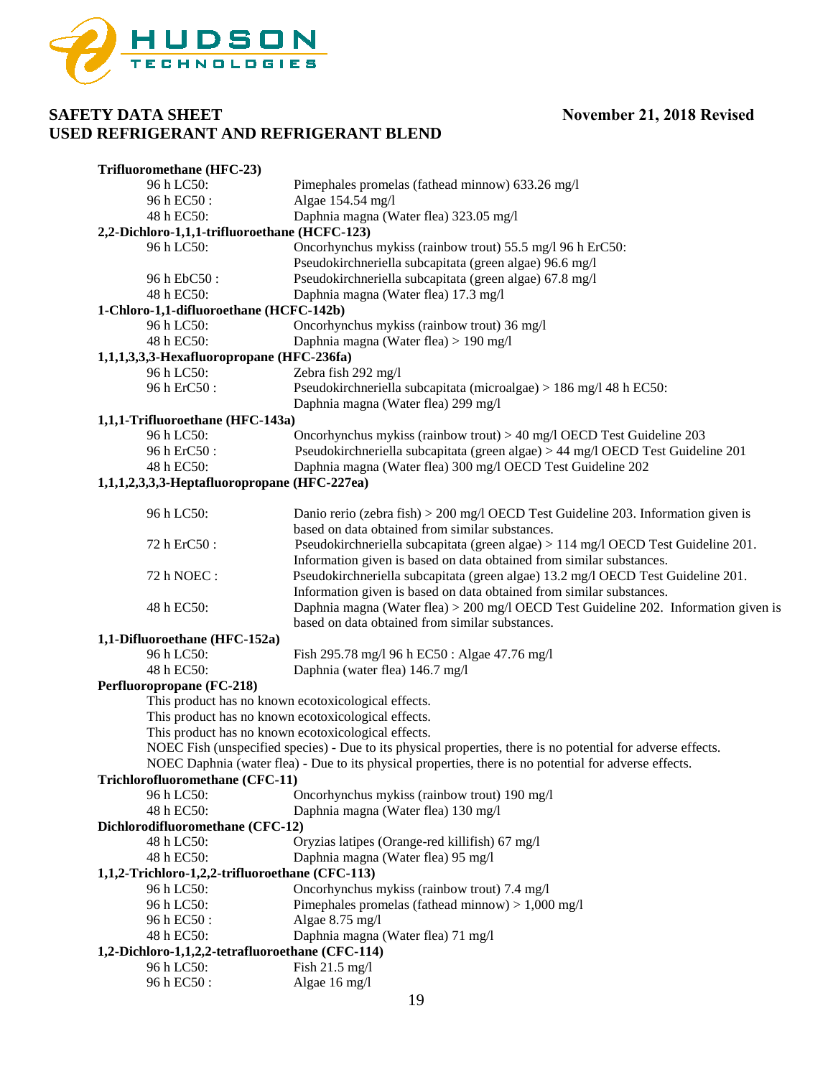

| Trifluoromethane (HFC-23)                        |                                                                                                              |  |
|--------------------------------------------------|--------------------------------------------------------------------------------------------------------------|--|
| 96 h LC50:                                       | Pimephales promelas (fathead minnow) 633.26 mg/l                                                             |  |
| 96 h EC50 :                                      | Algae 154.54 mg/l                                                                                            |  |
| 48 h EC50:                                       | Daphnia magna (Water flea) 323.05 mg/l                                                                       |  |
| 2,2-Dichloro-1,1,1-trifluoroethane (HCFC-123)    |                                                                                                              |  |
| 96 h LC50:                                       | Oncorhynchus mykiss (rainbow trout) 55.5 mg/l 96 h ErC50:                                                    |  |
|                                                  | Pseudokirchneriella subcapitata (green algae) 96.6 mg/l                                                      |  |
| 96 h EbC50 :                                     | Pseudokirchneriella subcapitata (green algae) 67.8 mg/l                                                      |  |
| 48 h EC50:                                       | Daphnia magna (Water flea) 17.3 mg/l                                                                         |  |
| 1-Chloro-1,1-difluoroethane (HCFC-142b)          |                                                                                                              |  |
| 96 h LC50:                                       | Oncorhynchus mykiss (rainbow trout) 36 mg/l                                                                  |  |
| 48 h EC50:                                       | Daphnia magna (Water flea) > 190 mg/l                                                                        |  |
|                                                  |                                                                                                              |  |
| 1,1,1,3,3,3-Hexafluoropropane (HFC-236fa)        |                                                                                                              |  |
| 96 h LC50:                                       | Zebra fish 292 mg/l                                                                                          |  |
| 96 h ErC50 :                                     | Pseudokirchneriella subcapitata (microalgae) > 186 mg/l 48 h EC50:                                           |  |
|                                                  | Daphnia magna (Water flea) 299 mg/l                                                                          |  |
| 1,1,1-Trifluoroethane (HFC-143a)                 |                                                                                                              |  |
| 96 h LC50:                                       | Oncorhynchus mykiss (rainbow trout) $> 40$ mg/l OECD Test Guideline 203                                      |  |
| 96 h ErC50 :                                     | Pseudokirchneriella subcapitata (green algae) > 44 mg/l OECD Test Guideline 201                              |  |
| 48 h EC50:                                       | Daphnia magna (Water flea) 300 mg/l OECD Test Guideline 202                                                  |  |
| 1,1,1,2,3,3,3-Heptafluoropropane (HFC-227ea)     |                                                                                                              |  |
|                                                  |                                                                                                              |  |
| 96 h LC50:                                       | Danio rerio (zebra fish) $> 200$ mg/l OECD Test Guideline 203. Information given is                          |  |
|                                                  | based on data obtained from similar substances.                                                              |  |
| 72 h ErC50:                                      | Pseudokirchneriella subcapitata (green algae) > 114 mg/l OECD Test Guideline 201.                            |  |
|                                                  | Information given is based on data obtained from similar substances.                                         |  |
| 72 h NOEC:                                       | Pseudokirchneriella subcapitata (green algae) 13.2 mg/l OECD Test Guideline 201.                             |  |
|                                                  | Information given is based on data obtained from similar substances.                                         |  |
| 48 h EC50:                                       | Daphnia magna (Water flea) > 200 mg/l OECD Test Guideline 202. Information given is                          |  |
|                                                  | based on data obtained from similar substances.                                                              |  |
| 1,1-Difluoroethane (HFC-152a)                    |                                                                                                              |  |
| 96 h LC50:                                       | Fish 295.78 mg/l 96 h EC50 : Algae 47.76 mg/l                                                                |  |
| 48 h EC50:                                       | Daphnia (water flea) 146.7 mg/l                                                                              |  |
| Perfluoropropane (FC-218)                        |                                                                                                              |  |
|                                                  | This product has no known ecotoxicological effects.                                                          |  |
|                                                  | This product has no known ecotoxicological effects.                                                          |  |
|                                                  | This product has no known ecotoxicological effects.                                                          |  |
|                                                  | NOEC Fish (unspecified species) - Due to its physical properties, there is no potential for adverse effects. |  |
|                                                  | NOEC Daphnia (water flea) - Due to its physical properties, there is no potential for adverse effects.       |  |
| Trichlorofluoromethane (CFC-11)                  |                                                                                                              |  |
| 96 h LC50:                                       | Oncorhynchus mykiss (rainbow trout) 190 mg/l                                                                 |  |
| 48 h EC50:                                       | Daphnia magna (Water flea) 130 mg/l                                                                          |  |
| Dichlorodifluoromethane (CFC-12)                 |                                                                                                              |  |
| 48 h LC50:                                       | Oryzias latipes (Orange-red killifish) 67 mg/l                                                               |  |
| 48 h EC50:                                       | Daphnia magna (Water flea) 95 mg/l                                                                           |  |
| 1,1,2-Trichloro-1,2,2-trifluoroethane (CFC-113)  |                                                                                                              |  |
| 96 h LC50:                                       | Oncorhynchus mykiss (rainbow trout) 7.4 mg/l                                                                 |  |
| 96 h LC50:                                       | Pimephales promelas (fathead minnow) $> 1,000$ mg/l                                                          |  |
| 96 h EC50:                                       | Algae 8.75 mg/l                                                                                              |  |
| 48 h EC50:                                       | Daphnia magna (Water flea) 71 mg/l                                                                           |  |
| 1,2-Dichloro-1,1,2,2-tetrafluoroethane (CFC-114) |                                                                                                              |  |
| 96 h LC50:                                       | Fish 21.5 mg/l                                                                                               |  |
| 96 h EC50:                                       | Algae 16 mg/l                                                                                                |  |
|                                                  |                                                                                                              |  |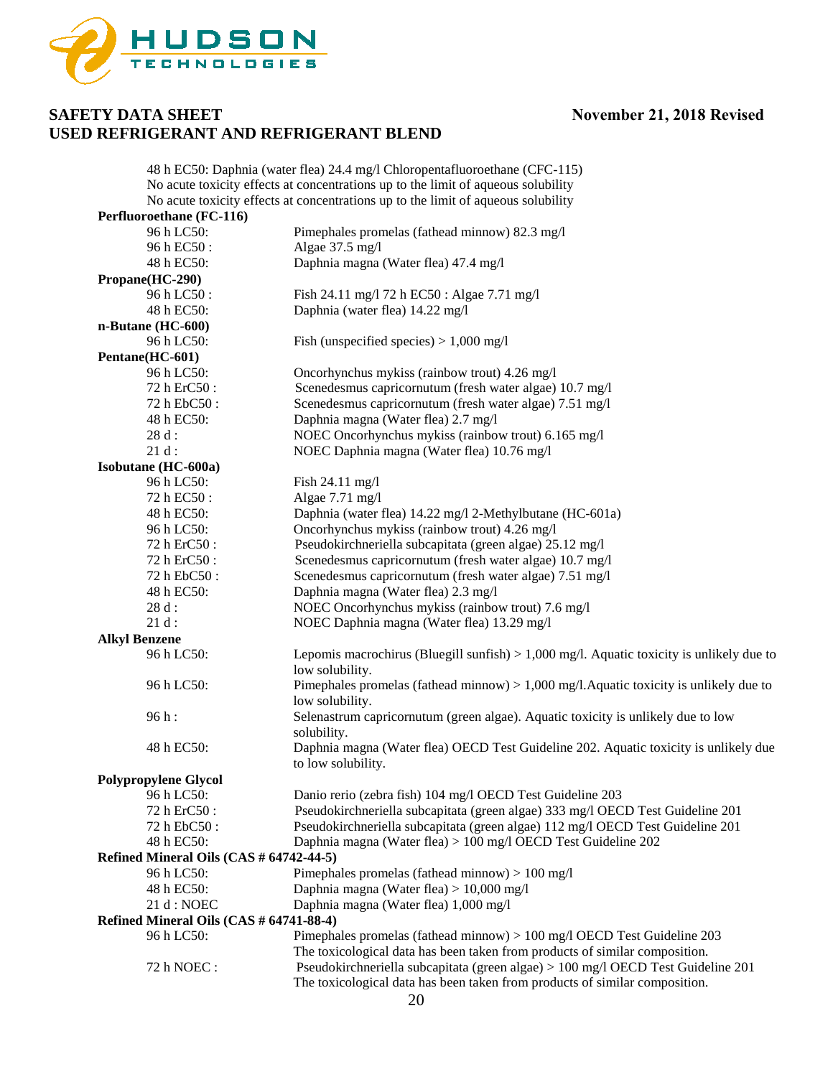

|                                         | 48 h EC50: Daphnia (water flea) 24.4 mg/l Chloropentafluoroethane (CFC-115)                                                                                     |
|-----------------------------------------|-----------------------------------------------------------------------------------------------------------------------------------------------------------------|
|                                         | No acute toxicity effects at concentrations up to the limit of aqueous solubility                                                                               |
|                                         | No acute toxicity effects at concentrations up to the limit of aqueous solubility                                                                               |
| Perfluoroethane (FC-116)                |                                                                                                                                                                 |
| 96 h LC50:                              | Pimephales promelas (fathead minnow) 82.3 mg/l                                                                                                                  |
| 96 h EC50 :                             | Algae 37.5 mg/l                                                                                                                                                 |
| 48 h EC50:                              | Daphnia magna (Water flea) 47.4 mg/l                                                                                                                            |
| Propane(HC-290)                         |                                                                                                                                                                 |
| 96 h LC50 :                             | Fish 24.11 mg/l 72 h EC50 : Algae 7.71 mg/l                                                                                                                     |
| 48 h EC50:                              | Daphnia (water flea) 14.22 mg/l                                                                                                                                 |
| n-Butane (HC-600)                       |                                                                                                                                                                 |
| 96 h LC50:                              | Fish (unspecified species) $> 1,000$ mg/l                                                                                                                       |
| Pentane(HC-601)                         |                                                                                                                                                                 |
| 96 h LC50:                              |                                                                                                                                                                 |
|                                         | Oncorhynchus mykiss (rainbow trout) 4.26 mg/l                                                                                                                   |
| 72 h ErC50 :                            | Scenedesmus capricornutum (fresh water algae) 10.7 mg/l                                                                                                         |
| 72 h EbC50:                             | Scenedesmus capricornutum (fresh water algae) 7.51 mg/l                                                                                                         |
| 48 h EC50:                              | Daphnia magna (Water flea) 2.7 mg/l                                                                                                                             |
| 28 d:                                   | NOEC Oncorhynchus mykiss (rainbow trout) 6.165 mg/l                                                                                                             |
| $21d$ :                                 | NOEC Daphnia magna (Water flea) 10.76 mg/l                                                                                                                      |
| Isobutane (HC-600a)                     |                                                                                                                                                                 |
| 96 h LC50:                              | Fish 24.11 mg/l                                                                                                                                                 |
| 72 h EC50 :                             | Algae 7.71 mg/l                                                                                                                                                 |
| 48 h EC50:                              | Daphnia (water flea) 14.22 mg/l 2-Methylbutane (HC-601a)                                                                                                        |
| 96 h LC50:                              | Oncorhynchus mykiss (rainbow trout) 4.26 mg/l                                                                                                                   |
| 72 h ErC50 :                            | Pseudokirchneriella subcapitata (green algae) 25.12 mg/l                                                                                                        |
| 72 h ErC50 :                            | Scenedesmus capricornutum (fresh water algae) 10.7 mg/l                                                                                                         |
| 72 h EbC50:                             | Scenedesmus capricornutum (fresh water algae) 7.51 mg/l                                                                                                         |
| 48 h EC50:                              | Daphnia magna (Water flea) 2.3 mg/l                                                                                                                             |
| 28 d:                                   | NOEC Oncorhynchus mykiss (rainbow trout) 7.6 mg/l                                                                                                               |
| $21 d$ :                                | NOEC Daphnia magna (Water flea) 13.29 mg/l                                                                                                                      |
| <b>Alkyl Benzene</b>                    |                                                                                                                                                                 |
| 96 h LC50:                              | Lepomis macrochirus (Bluegill sunfish) $> 1,000$ mg/l. Aquatic toxicity is unlikely due to<br>low solubility.                                                   |
| 96 h LC50:                              | Pimephales promelas (fathead minnow) $> 1,000$ mg/l. Aquatic toxicity is unlikely due to<br>low solubility.                                                     |
| 96 h:                                   | Selenastrum capricornutum (green algae). Aquatic toxicity is unlikely due to low<br>solubility.                                                                 |
| 48 h EC50:                              | Daphnia magna (Water flea) OECD Test Guideline 202. Aquatic toxicity is unlikely due<br>to low solubility.                                                      |
| <b>Polypropylene Glycol</b>             |                                                                                                                                                                 |
| 96 h LC50:                              | Danio rerio (zebra fish) 104 mg/l OECD Test Guideline 203                                                                                                       |
| 72 h ErC50 :                            | Pseudokirchneriella subcapitata (green algae) 333 mg/l OECD Test Guideline 201                                                                                  |
| 72 h EbC50 :                            | Pseudokirchneriella subcapitata (green algae) 112 mg/l OECD Test Guideline 201                                                                                  |
| 48 h EC50:                              | Daphnia magna (Water flea) > 100 mg/l OECD Test Guideline 202                                                                                                   |
| Refined Mineral Oils (CAS # 64742-44-5) |                                                                                                                                                                 |
| 96 h LC50:                              | Pimephales promelas (fathead minnow) $> 100$ mg/l                                                                                                               |
| 48 h EC50:                              | Daphnia magna (Water flea) > 10,000 mg/l                                                                                                                        |
| 21 d : NOEC                             | Daphnia magna (Water flea) 1,000 mg/l                                                                                                                           |
| Refined Mineral Oils (CAS # 64741-88-4) |                                                                                                                                                                 |
| 96 h LC50:                              |                                                                                                                                                                 |
|                                         | Pimephales promelas (fathead minnow) $> 100$ mg/l OECD Test Guideline 203                                                                                       |
| 72 h NOEC:                              | The toxicological data has been taken from products of similar composition.<br>Pseudokirchneriella subcapitata (green algae) > 100 mg/l OECD Test Guideline 201 |
|                                         | The toxicological data has been taken from products of similar composition.                                                                                     |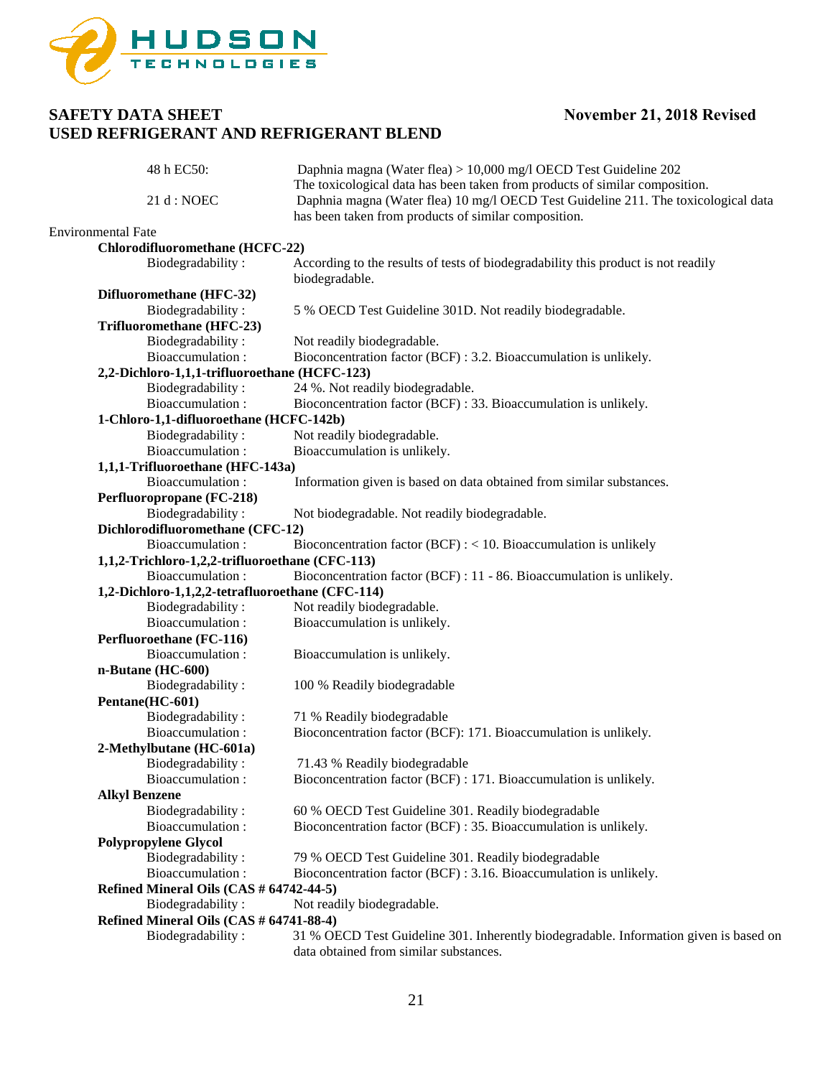

| 48 h EC50:                                       | Daphnia magna (Water flea) > 10,000 mg/l OECD Test Guideline 202                      |
|--------------------------------------------------|---------------------------------------------------------------------------------------|
|                                                  | The toxicological data has been taken from products of similar composition.           |
| 21 d : NOEC                                      | Daphnia magna (Water flea) 10 mg/l OECD Test Guideline 211. The toxicological data    |
|                                                  | has been taken from products of similar composition.                                  |
| <b>Environmental Fate</b>                        |                                                                                       |
| Chlorodifluoromethane (HCFC-22)                  |                                                                                       |
| Biodegradability:                                | According to the results of tests of biodegradability this product is not readily     |
|                                                  | biodegradable.                                                                        |
| Difluoromethane (HFC-32)                         |                                                                                       |
| Biodegradability:                                | 5 % OECD Test Guideline 301D. Not readily biodegradable.                              |
| Trifluoromethane (HFC-23)                        |                                                                                       |
| Biodegradability:                                | Not readily biodegradable.                                                            |
| Bioaccumulation:                                 | Bioconcentration factor (BCF) : 3.2. Bioaccumulation is unlikely.                     |
| 2,2-Dichloro-1,1,1-trifluoroethane (HCFC-123)    |                                                                                       |
| Biodegradability:                                | 24 %. Not readily biodegradable.                                                      |
| Bioaccumulation:                                 | Bioconcentration factor (BCF) : 33. Bioaccumulation is unlikely.                      |
| 1-Chloro-1,1-difluoroethane (HCFC-142b)          |                                                                                       |
| Biodegradability:                                | Not readily biodegradable.                                                            |
| Bioaccumulation:                                 | Bioaccumulation is unlikely.                                                          |
| 1,1,1-Trifluoroethane (HFC-143a)                 |                                                                                       |
| Bioaccumulation:                                 | Information given is based on data obtained from similar substances.                  |
| Perfluoropropane (FC-218)                        |                                                                                       |
| Biodegradability:                                | Not biodegradable. Not readily biodegradable.                                         |
| Dichlorodifluoromethane (CFC-12)                 |                                                                                       |
| Bioaccumulation:                                 | Bioconcentration factor (BCF) $:$ < 10. Bioaccumulation is unlikely                   |
| 1,1,2-Trichloro-1,2,2-trifluoroethane (CFC-113)  |                                                                                       |
| Bioaccumulation:                                 | Bioconcentration factor (BCF) : 11 - 86. Bioaccumulation is unlikely.                 |
| 1,2-Dichloro-1,1,2,2-tetrafluoroethane (CFC-114) |                                                                                       |
| Biodegradability:                                | Not readily biodegradable.                                                            |
| Bioaccumulation:                                 | Bioaccumulation is unlikely.                                                          |
| Perfluoroethane (FC-116)                         |                                                                                       |
| Bioaccumulation:                                 | Bioaccumulation is unlikely.                                                          |
| n-Butane (HC-600)                                |                                                                                       |
| Biodegradability:                                | 100 % Readily biodegradable                                                           |
| Pentane(HC-601)                                  |                                                                                       |
| Biodegradability:                                | 71 % Readily biodegradable                                                            |
| Bioaccumulation:                                 | Bioconcentration factor (BCF): 171. Bioaccumulation is unlikely.                      |
| 2-Methylbutane (HC-601a)                         |                                                                                       |
| Biodegradability:                                | 71.43 % Readily biodegradable                                                         |
| Bioaccumulation:                                 | Bioconcentration factor (BCF) : 171. Bioaccumulation is unlikely.                     |
| <b>Alkyl Benzene</b>                             |                                                                                       |
| Biodegradability:                                | 60 % OECD Test Guideline 301. Readily biodegradable                                   |
| Bioaccumulation:                                 | Bioconcentration factor (BCF) : 35. Bioaccumulation is unlikely.                      |
| <b>Polypropylene Glycol</b>                      |                                                                                       |
| Biodegradability:                                | 79 % OECD Test Guideline 301. Readily biodegradable                                   |
| Bioaccumulation:                                 | Bioconcentration factor (BCF) : 3.16. Bioaccumulation is unlikely.                    |
| Refined Mineral Oils (CAS # 64742-44-5)          |                                                                                       |
| Biodegradability:                                | Not readily biodegradable.                                                            |
| Refined Mineral Oils (CAS # 64741-88-4)          |                                                                                       |
| Biodegradability:                                | 31 % OECD Test Guideline 301. Inherently biodegradable. Information given is based on |
|                                                  | data obtained from similar substances.                                                |